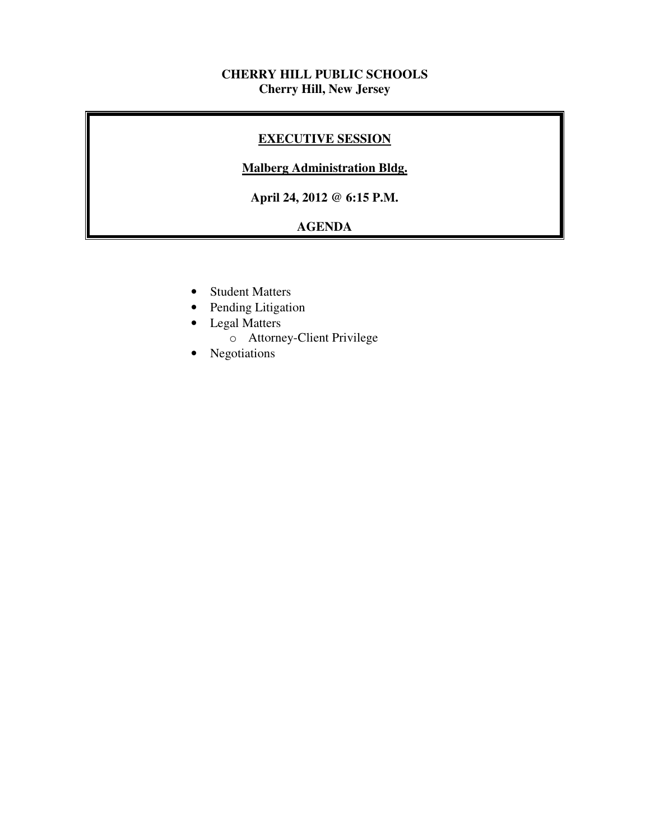## **CHERRY HILL PUBLIC SCHOOLS Cherry Hill, New Jersey**

## **EXECUTIVE SESSION**

## **Malberg Administration Bldg.**

 **April 24, 2012 @ 6:15 P.M.** 

## **AGENDA**

- Student Matters
- Pending Litigation
- • Legal Matters
	- o Attorney-Client Privilege
- Negotiations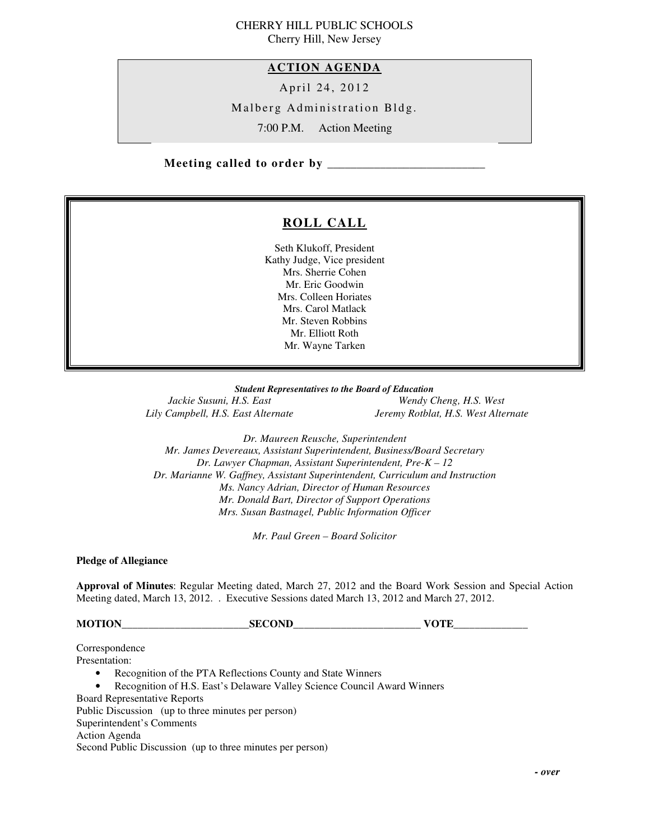#### CHERRY HILL PUBLIC SCHOOLS Cherry Hill, New Jersey

 **ACTION AGENDA** 

April 24, 2012

Malberg Administration Bldg.

7:00 P.M. Action Meeting

 **Meeting called to order by \_\_\_\_\_\_\_\_\_\_\_\_\_\_\_\_\_\_\_\_\_\_\_\_\_\_\_** 

## **ROLL CALL**

 Seth Klukoff, President Kathy Judge, Vice president Mrs. Sherrie Cohen Mr. Eric Goodwin Mrs. Colleen Horiates Mrs. Carol Matlack Mr. Steven Robbins Mr. Elliott Roth Mr. Wayne Tarken

 *Student Representatives to the Board of Education*  Jackie Susuni, H.S. East Lily Campbell, H.S. East Alternate

*Wendy Cheng, H.S. West Lily Campbell, H.S. East Alternate Jeremy Rotblat, H.S. West Alternate* 

 *Dr. Maureen Reusche, Superintendent Mr. James Devereaux, Assistant Superintendent, Business/Board Secretary Dr. Lawyer Chapman, Assistant Superintendent, Pre-K – 12 Dr. Marianne W. Gaffney, Assistant Superintendent, Curriculum and Instruction Ms. Nancy Adrian, Director of Human Resources Mr. Donald Bart, Director of Support Operations Mrs. Susan Bastnagel, Public Information Officer* 

 *Mr. Paul Green – Board Solicitor* 

 **Pledge of Allegiance** 

 **Approval of Minutes**: Regular Meeting dated, March 27, 2012 and the Board Work Session and Special Action Meeting dated, March 13, 2012. . Executive Sessions dated March 13, 2012 and March 27, 2012.

**MOTION\_\_\_\_\_\_\_\_\_\_\_\_\_\_\_\_\_\_\_\_\_\_\_\_SECOND\_\_\_\_\_\_\_\_\_\_\_\_\_\_\_\_\_\_\_\_\_\_\_\_ VOTE\_\_\_\_\_\_\_\_\_\_\_\_\_\_** 

Presentation: Presentation:<br>• Recognition of the PTA Reflections County and State Winners • Recognition of H.S. East's Delaware Valley Science Council Award Winners Board Representative Reports Public Discussion (up to three minutes per person) Superintendent's Comments Action Agenda Second Public Discussion (up to three minutes per person) Correspondence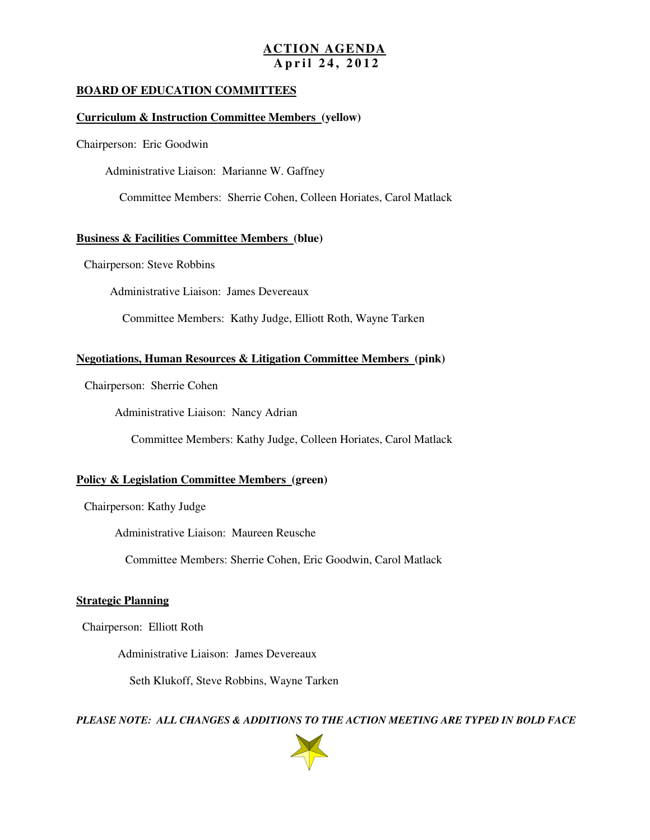#### **ACTION AGENDA A p r i l 2 4 , 2 0 1 2**

#### **BOARD OF EDUCATION COMMITTEES**

#### **Curriculum & Instruction Committee Members (yellow)**

Chairperson: Eric Goodwin

Administrative Liaison: Marianne W. Gaffney

Committee Members: Sherrie Cohen, Colleen Horiates, Carol Matlack

#### **Business & Facilities Committee Members (blue)**

Chairperson: Steve Robbins

Administrative Liaison: James Devereaux

Committee Members: Kathy Judge, Elliott Roth, Wayne Tarken

#### **Negotiations, Human Resources & Litigation Committee Members (pink)**

Chairperson: Sherrie Cohen

Administrative Liaison: Nancy Adrian

Committee Members: Kathy Judge, Colleen Horiates, Carol Matlack

#### **Policy & Legislation Committee Members (green)**

Chairperson: Kathy Judge

Administrative Liaison: Maureen Reusche

Committee Members: Sherrie Cohen, Eric Goodwin, Carol Matlack

#### **Strategic Planning**

Chairperson: Elliott Roth

Administrative Liaison: James Devereaux

Seth Klukoff, Steve Robbins, Wayne Tarken

 *PLEASE NOTE: ALL CHANGES & ADDITIONS TO THE ACTION MEETING ARE TYPED IN BOLD FACE* 

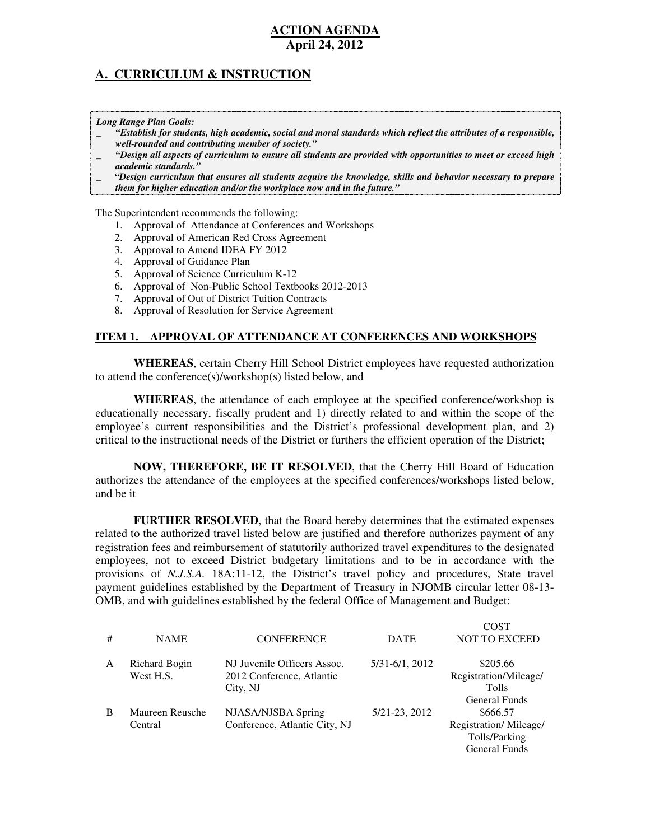## **A. CURRICULUM & INSTRUCTION**

 *Long Range Plan Goals:* 

- \_ *"Establish for students, high academic, social and moral standards which reflect the attributes of a responsible, well-rounded and contributing member of society."*
- \_ *"Design all aspects of curriculum to ensure all students are provided with opportunities to meet or exceed high academic standards."*
- \_ *"Design curriculum that ensures all students acquire the knowledge, skills and behavior necessary to prepare them for higher education and/or the workplace now and in the future."*

The Superintendent recommends the following:

- 1. Approval of Attendance at Conferences and Workshops
- 2. Approval of American Red Cross Agreement
- 3. Approval to Amend IDEA FY 2012
- 4. Approval of Guidance Plan
- 5. Approval of Science Curriculum K-12
- 6. Approval of Non-Public School Textbooks 2012-2013
- 7. Approval of Out of District Tuition Contracts
- 8. Approval of Resolution for Service Agreement

#### **ITEM 1. APPROVAL OF ATTENDANCE AT CONFERENCES AND WORKSHOPS**

 **WHEREAS**, certain Cherry Hill School District employees have requested authorization to attend the conference(s)/workshop(s) listed below, and

 **WHEREAS**, the attendance of each employee at the specified conference/workshop is educationally necessary, fiscally prudent and 1) directly related to and within the scope of the employee's current responsibilities and the District's professional development plan, and 2) critical to the instructional needs of the District or furthers the efficient operation of the District;

 **NOW, THEREFORE, BE IT RESOLVED**, that the Cherry Hill Board of Education authorizes the attendance of the employees at the specified conferences/workshops listed below, and be it

 **FURTHER RESOLVED**, that the Board hereby determines that the estimated expenses related to the authorized travel listed below are justified and therefore authorizes payment of any registration fees and reimbursement of statutorily authorized travel expenditures to the designated employees, not to exceed District budgetary limitations and to be in accordance with the provisions of *N.J.S.A.* 18A:11-12, the District's travel policy and procedures, State travel payment guidelines established by the Department of Treasury in NJOMB circular letter 08-13 OMB, and with guidelines established by the federal Office of Management and Budget:

|              |                 |                               |                | COST                  |
|--------------|-----------------|-------------------------------|----------------|-----------------------|
| #            | <b>NAME</b>     | <b>CONFERENCE</b>             | <b>DATE</b>    | <b>NOT TO EXCEED</b>  |
| $\mathsf{A}$ | Richard Bogin   | NJ Juvenile Officers Assoc.   | 5/31-6/1, 2012 | \$205.66              |
|              | West H.S.       | 2012 Conference, Atlantic     |                | Registration/Mileage/ |
|              |                 | City, NJ                      |                | <b>Tolls</b>          |
|              |                 |                               |                | General Funds         |
| B            | Maureen Reusche | NJASA/NJSBA Spring            | 5/21-23, 2012  | \$666.57              |
|              | Central         | Conference, Atlantic City, NJ |                | Registration/Mileage/ |
|              |                 |                               |                | Tolls/Parking         |
|              |                 |                               |                | General Funds         |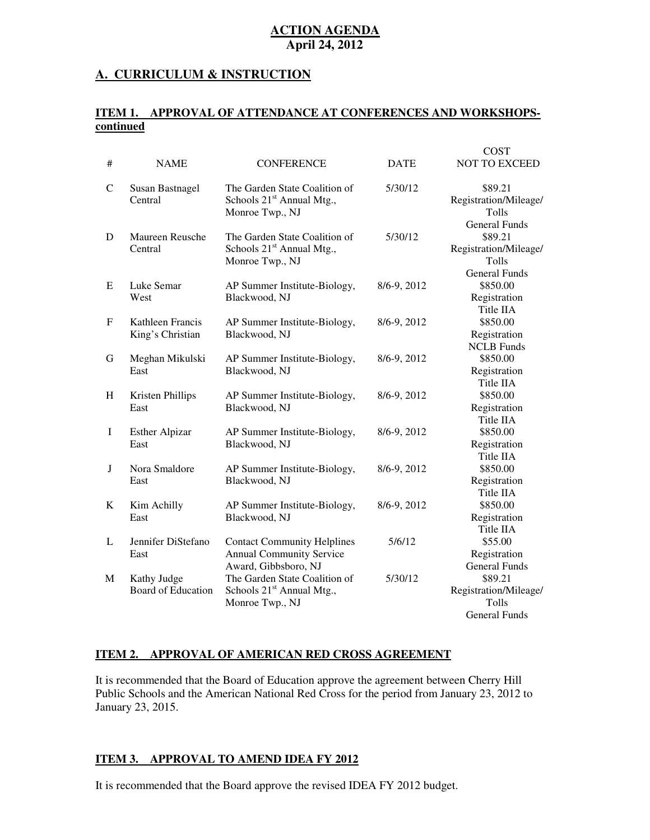#### **A. CURRICULUM & INSTRUCTION**

#### **ITEM 1. APPROVAL OF ATTENDANCE AT CONFERENCES AND WORKSHOPScontinued**

|              |                                          |                                                                                               |             | <b>COST</b>                                                       |
|--------------|------------------------------------------|-----------------------------------------------------------------------------------------------|-------------|-------------------------------------------------------------------|
| #            | <b>NAME</b>                              | <b>CONFERENCE</b>                                                                             | <b>DATE</b> | <b>NOT TO EXCEED</b>                                              |
| $\mathsf{C}$ | Susan Bastnagel<br>Central               | The Garden State Coalition of<br>Schools 21 <sup>st</sup> Annual Mtg.,<br>Monroe Twp., NJ     | 5/30/12     | \$89.21<br>Registration/Mileage/<br>Tolls<br><b>General Funds</b> |
| D            | Maureen Reusche<br>Central               | The Garden State Coalition of<br>Schools 21 <sup>st</sup> Annual Mtg.,<br>Monroe Twp., NJ     | 5/30/12     | \$89.21<br>Registration/Mileage/<br>Tolls                         |
| E            | Luke Semar<br>West                       | AP Summer Institute-Biology,<br>Blackwood, NJ                                                 | 8/6-9, 2012 | <b>General Funds</b><br>\$850.00<br>Registration<br>Title IIA     |
| $\mathbf F$  | Kathleen Francis<br>King's Christian     | AP Summer Institute-Biology,<br>Blackwood, NJ                                                 | 8/6-9, 2012 | \$850.00<br>Registration<br><b>NCLB</b> Funds                     |
| G            | Meghan Mikulski<br>East                  | AP Summer Institute-Biology,<br>Blackwood, NJ                                                 | 8/6-9, 2012 | \$850.00<br>Registration<br>Title IIA                             |
| H            | Kristen Phillips<br>East                 | AP Summer Institute-Biology,<br>Blackwood, NJ                                                 | 8/6-9, 2012 | \$850.00<br>Registration<br>Title IIA                             |
| $\mathbf I$  | <b>Esther Alpizar</b><br>East            | AP Summer Institute-Biology,<br>Blackwood, NJ                                                 | 8/6-9, 2012 | \$850.00<br>Registration<br>Title IIA                             |
| J            | Nora Smaldore<br>East                    | AP Summer Institute-Biology,<br>Blackwood, NJ                                                 | 8/6-9, 2012 | \$850.00<br>Registration<br>Title IIA                             |
| $\bf K$      | Kim Achilly<br>East                      | AP Summer Institute-Biology,<br>Blackwood, NJ                                                 | 8/6-9, 2012 | \$850.00<br>Registration<br>Title IIA                             |
| L            | Jennifer DiStefano<br>East               | <b>Contact Community Helplines</b><br><b>Annual Community Service</b><br>Award, Gibbsboro, NJ | 5/6/12      | \$55.00<br>Registration<br><b>General Funds</b>                   |
| М            | Kathy Judge<br><b>Board of Education</b> | The Garden State Coalition of<br>Schools 21 <sup>st</sup> Annual Mtg.,<br>Monroe Twp., NJ     | 5/30/12     | \$89.21<br>Registration/Mileage/<br>Tolls<br><b>General Funds</b> |

#### **ITEM 2. APPROVAL OF AMERICAN RED CROSS AGREEMENT**

 It is recommended that the Board of Education approve the agreement between Cherry Hill Public Schools and the American National Red Cross for the period from January 23, 2012 to January 23, 2015.

#### **ITEM 3. APPROVAL TO AMEND IDEA FY 2012**

It is recommended that the Board approve the revised IDEA FY 2012 budget.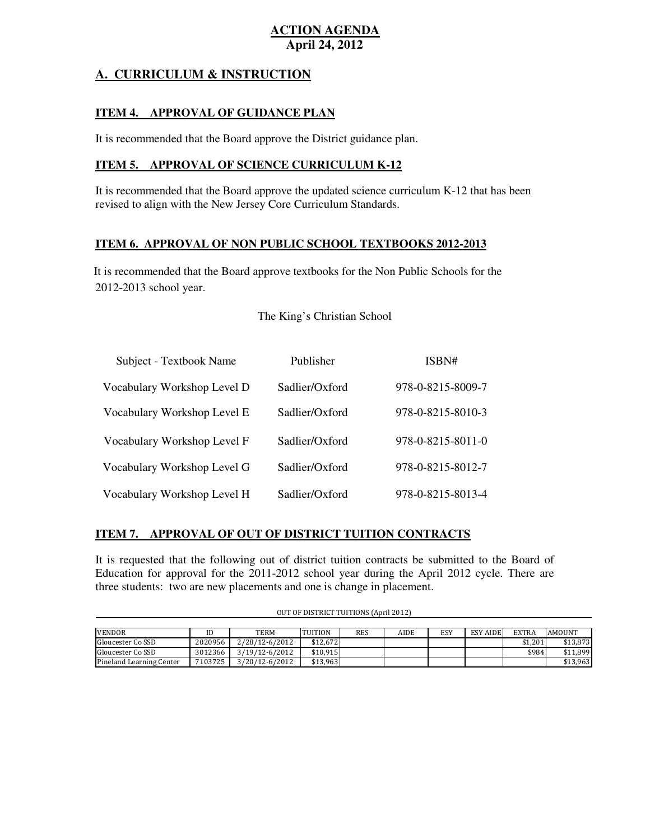## **A. CURRICULUM & INSTRUCTION**

#### **ITEM 4. APPROVAL OF GUIDANCE PLAN**

It is recommended that the Board approve the District guidance plan.

#### **ITEM 5. APPROVAL OF SCIENCE CURRICULUM K-12**

 It is recommended that the Board approve the updated science curriculum K-12 that has been revised to align with the New Jersey Core Curriculum Standards.

#### **ITEM 6. APPROVAL OF NON PUBLIC SCHOOL TEXTBOOKS 2012-2013**

 2012-2013 school year. It is recommended that the Board approve textbooks for the Non Public Schools for the

#### The King's Christian School

| Subject - Textbook Name     | Publisher      | ISBN#                       |
|-----------------------------|----------------|-----------------------------|
| Vocabulary Workshop Level D | Sadlier/Oxford | 978-0-8215-8009-7           |
| Vocabulary Workshop Level E | Sadlier/Oxford | 978-0-8215-8010-3           |
| Vocabulary Workshop Level F | Sadlier/Oxford | $978 - 0 - 8215 - 8011 - 0$ |
| Vocabulary Workshop Level G | Sadlier/Oxford | 978-0-8215-8012-7           |
| Vocabulary Workshop Level H | Sadlier/Oxford | 978-0-8215-8013-4           |

#### **ITEM 7. APPROVAL OF OUT OF DISTRICT TUITION CONTRACTS**

 It is requested that the following out of district tuition contracts be submitted to the Board of Education for approval for the 2011-2012 school year during the April 2012 cycle. There are three students: two are new placements and one is change in placement.

| <b>VENDOR</b>            |         | TERM           | <b>TUITION</b> | <b>RES</b> | AIDE | ESY | <b>ESY AIDE</b> | <b>EXTRA</b> | <b>AMOUNT</b> |
|--------------------------|---------|----------------|----------------|------------|------|-----|-----------------|--------------|---------------|
| Gloucester Co SSD        | 2020956 | 2/28/12-6/2012 | \$12,672       |            |      |     |                 | \$1,201      | \$13.873      |
| Gloucester Co SSD        | 3012366 | 3/19/12-6/2012 | \$10,915       |            |      |     |                 | \$984        | \$11.899      |
| Pineland Learning Center | 7103725 | 3/20/12-6/2012 | \$13,963       |            |      |     |                 |              | \$13,963      |

OUT OF DISTRICT TUITIONS (April 2012)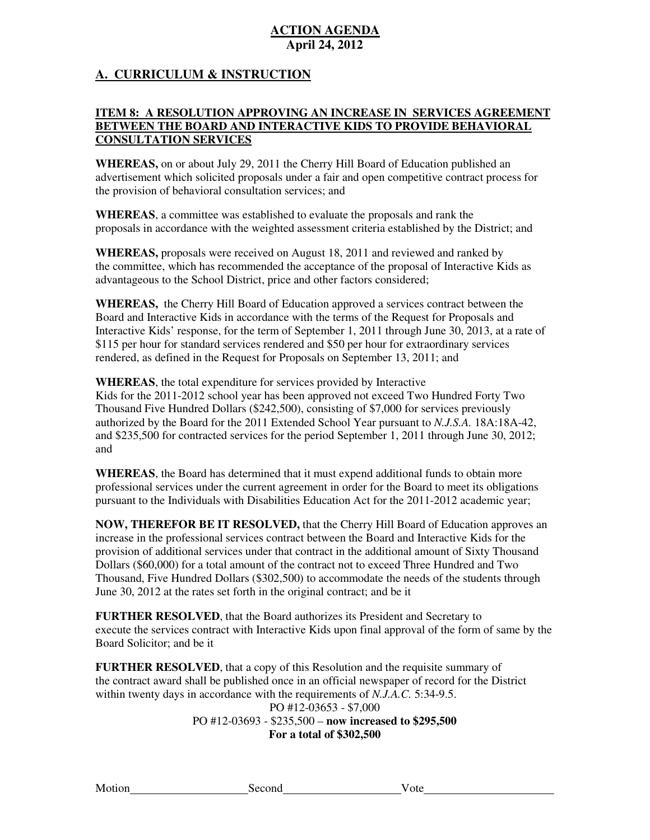## **A. CURRICULUM & INSTRUCTION**

### **ITEM 8: A RESOLUTION APPROVING AN INCREASE IN SERVICES AGREEMENT BETWEEN THE BOARD AND INTERACTIVE KIDS TO PROVIDE BEHAVIORAL CONSULTATION SERVICES**

 **WHEREAS,** on or about July 29, 2011 the Cherry Hill Board of Education published an advertisement which solicited proposals under a fair and open competitive contract process for the provision of behavioral consultation services; and

 **WHEREAS**, a committee was established to evaluate the proposals and rank the proposals in accordance with the weighted assessment criteria established by the District; and

 **WHEREAS,** proposals were received on August 18, 2011 and reviewed and ranked by the committee, which has recommended the acceptance of the proposal of Interactive Kids as advantageous to the School District, price and other factors considered;

 **WHEREAS,** the Cherry Hill Board of Education approved a services contract between the Board and Interactive Kids in accordance with the terms of the Request for Proposals and Interactive Kids' response, for the term of September 1, 2011 through June 30, 2013, at a rate of \$115 per hour for standard services rendered and \$50 per hour for extraordinary services rendered, as defined in the Request for Proposals on September 13, 2011; and

 **WHEREAS**, the total expenditure for services provided by Interactive Kids for the 2011-2012 school year has been approved not exceed Two Hundred Forty Two Thousand Five Hundred Dollars (\$242,500), consisting of \$7,000 for services previously authorized by the Board for the 2011 Extended School Year pursuant to *N.J.S.A.* 18A:18A-42, and \$235,500 for contracted services for the period September 1, 2011 through June 30, 2012; and

 **WHEREAS**, the Board has determined that it must expend additional funds to obtain more professional services under the current agreement in order for the Board to meet its obligations pursuant to the Individuals with Disabilities Education Act for the 2011-2012 academic year;

 **NOW, THEREFOR BE IT RESOLVED,** that the Cherry Hill Board of Education approves an increase in the professional services contract between the Board and Interactive Kids for the provision of additional services under that contract in the additional amount of Sixty Thousand Dollars (\$60,000) for a total amount of the contract not to exceed Three Hundred and Two Thousand, Five Hundred Dollars (\$302,500) to accommodate the needs of the students through June 30, 2012 at the rates set forth in the original contract; and be it

 **FURTHER RESOLVED**, that the Board authorizes its President and Secretary to execute the services contract with Interactive Kids upon final approval of the form of same by the Board Solicitor; and be it

 **FURTHER RESOLVED**, that a copy of this Resolution and the requisite summary of the contract award shall be published once in an official newspaper of record for the District within twenty days in accordance with the requirements of *N.J.A.C.* 5:34-9.5.

> PO #12-03653 - \$7,000 PO #12-03693 - \$235,500 – **now increased to \$295,500 For a total of \$302,500**

Motion

Second Vote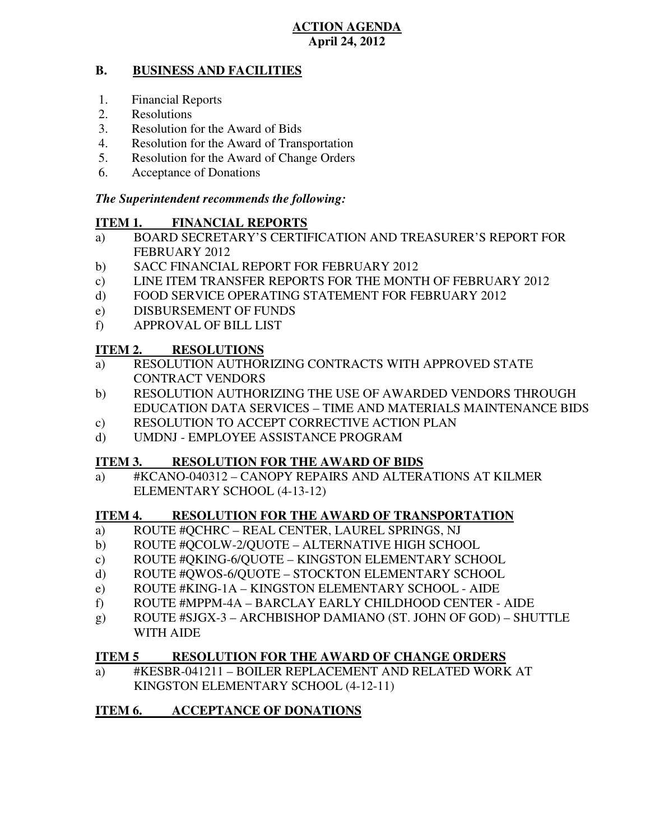#### **B. BUSINESS AND FACILITIES**

- 1. Financial Reports
- 2. Resolutions
- 3. Resolution for the Award of Bids
- 4. Resolution for the Award of Transportation
- 5. Resolution for the Award of Change Orders
- 6. Acceptance of Donations

## *The Superintendent recommends the following:*

## **ITEM 1. FINANCIAL REPORTS**

- a) BOARD SECRETARY'S CERTIFICATION AND TREASURER'S REPORT FOR FEBRUARY 2012
- $b)$ SACC FINANCIAL REPORT FOR FEBRUARY 2012
- $\mathbf{c})$ LINE ITEM TRANSFER REPORTS FOR THE MONTH OF FEBRUARY 2012
- $\mathbf{d}$ FOOD SERVICE OPERATING STATEMENT FOR FEBRUARY 2012
- e) DISBURSEMENT OF FUNDS
- f) APPROVAL OF BILL LIST

#### **ITEM 2. RESOLUTIONS**

- a) RESOLUTION AUTHORIZING CONTRACTS WITH APPROVED STATE CONTRACT VENDORS
- b) RESOLUTION AUTHORIZING THE USE OF AWARDED VENDORS THROUGH EDUCATION DATA SERVICES – TIME AND MATERIALS MAINTENANCE BIDS
- c) RESOLUTION TO ACCEPT CORRECTIVE ACTION PLAN
- d) UMDNJ EMPLOYEE ASSISTANCE PROGRAM

#### **ITEM 3. RESOLUTION FOR THE AWARD OF BIDS**

 a) #KCANO-040312 – CANOPY REPAIRS AND ALTERATIONS AT KILMER ELEMENTARY SCHOOL (4-13-12)

#### **ITEM 4. RESOLUTION FOR THE AWARD OF TRANSPORTATION**

- a) ROUTE #QCHRC REAL CENTER, LAUREL SPRINGS, NJ
- b) ROUTE #QCOLW-2/QUOTE ALTERNATIVE HIGH SCHOOL
- c) ROUTE #QKING-6/QUOTE KINGSTON ELEMENTARY SCHOOL
- d) ROUTE #QWOS-6/QUOTE STOCKTON ELEMENTARY SCHOOL
- e) ROUTE #KING-1A KINGSTON ELEMENTARY SCHOOL AIDE
- f) ROUTE #MPPM-4A BARCLAY EARLY CHILDHOOD CENTER AIDE
- g) ROUTE #SJGX-3 ARCHBISHOP DAMIANO (ST. JOHN OF GOD) SHUTTLE WITH AIDE

#### **ITEM 5 RESOLUTION FOR THE AWARD OF CHANGE ORDERS**

 a) #KESBR-041211 – BOILER REPLACEMENT AND RELATED WORK AT KINGSTON ELEMENTARY SCHOOL (4-12-11)

## **ITEM 6. ACCEPTANCE OF DONATIONS**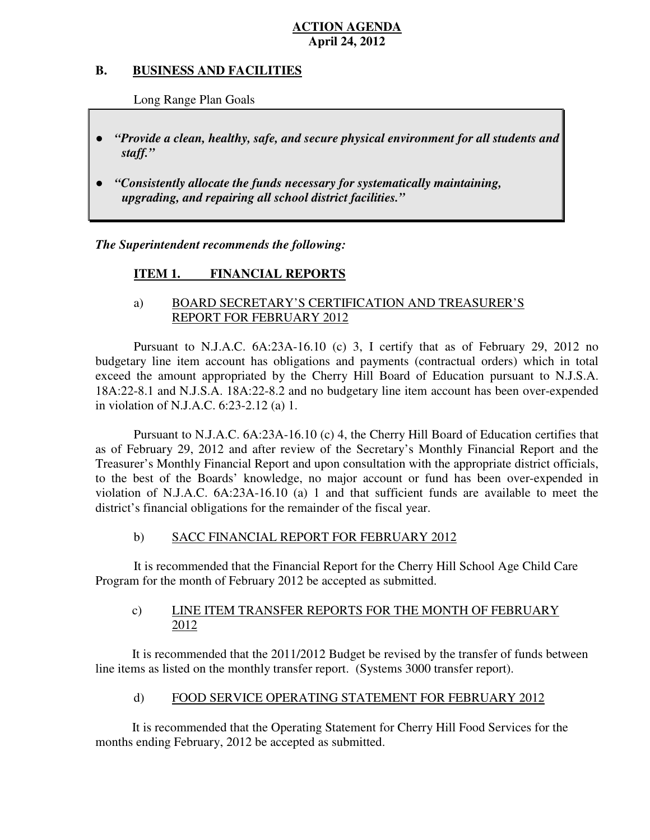#### **B. B. BUSINESS AND FACILITIES**

Long Range Plan Goals

- *"Provide a clean, healthy, safe, and secure physical environment for all students and staff."*
- *upgrading, and repairing all school district facilities."*  ● *"Consistently allocate the funds necessary for systematically maintaining,*

 *The Superintendent recommends the following:* 

#### **ITEM 1. FINANCIAL REPORTS**

## a) BOARD SECRETARY'S CERTIFICATION AND TREASURER'S REPORT FOR FEBRUARY 2012

 Pursuant to N.J.A.C. 6A:23A-16.10 (c) 3, I certify that as of February 29, 2012 no budgetary line item account has obligations and payments (contractual orders) which in total exceed the amount appropriated by the Cherry Hill Board of Education pursuant to N.J.S.A. 18A:22-8.1 and N.J.S.A. 18A:22-8.2 and no budgetary line item account has been over-expended in violation of N.J.A.C. 6:23-2.12 (a) 1.

 Pursuant to N.J.A.C. 6A:23A-16.10 (c) 4, the Cherry Hill Board of Education certifies that as of February 29, 2012 and after review of the Secretary's Monthly Financial Report and the Treasurer's Monthly Financial Report and upon consultation with the appropriate district officials, to the best of the Boards' knowledge, no major account or fund has been over-expended in violation of N.J.A.C. 6A:23A-16.10 (a) 1 and that sufficient funds are available to meet the district's financial obligations for the remainder of the fiscal year.

#### $b)$ SACC FINANCIAL REPORT FOR FEBRUARY 2012

 It is recommended that the Financial Report for the Cherry Hill School Age Child Care Program for the month of February 2012 be accepted as submitted.

#### $c)$ LINE ITEM TRANSFER REPORTS FOR THE MONTH OF FEBRUARY 2012

 It is recommended that the 2011/2012 Budget be revised by the transfer of funds between line items as listed on the monthly transfer report. (Systems 3000 transfer report).

#### $\mathbf{d}$ FOOD SERVICE OPERATING STATEMENT FOR FEBRUARY 2012

 It is recommended that the Operating Statement for Cherry Hill Food Services for the months ending February, 2012 be accepted as submitted.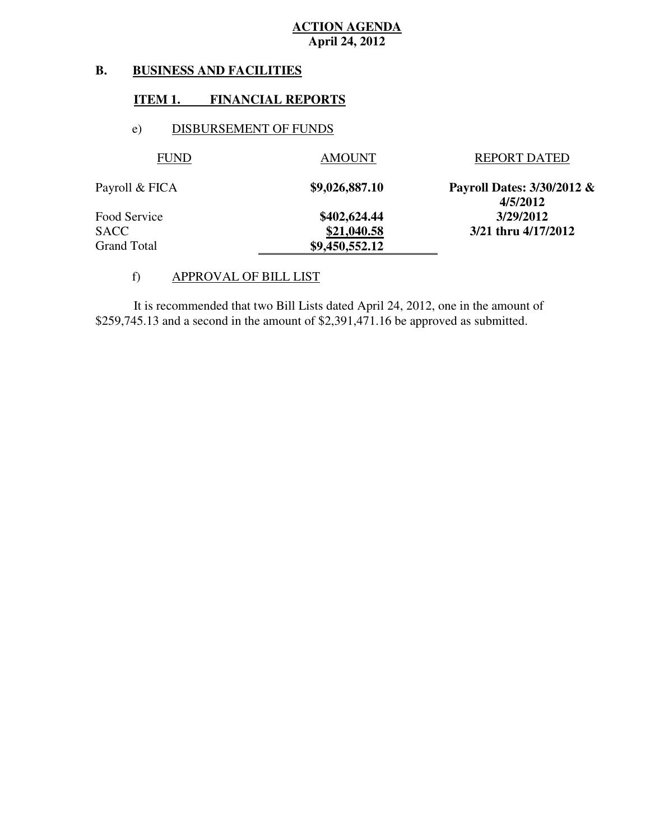#### **B. B. BUSINESS AND FACILITIES**

#### **ITEM 1. FINANCIAL REPORTS**

#### e) DISBURSEMENT OF FUNDS

| <b>FUND</b>    | <b>AMOUNT</b>  | <b>REPORT DATED</b>                    |
|----------------|----------------|----------------------------------------|
| Payroll & FICA | \$9,026,887.10 | Payroll Dates: 3/30/2012 &<br>4/5/2012 |
| Food Service   | \$402,624.44   | 3/29/2012                              |
| <b>SACC</b>    | \$21,040.58    | 3/21 thru 4/17/2012                    |
| Grand Total    | \$9,450,552.12 |                                        |
|                |                |                                        |

#### f) APPROVAL OF BILL LIST

 \$259,745.13 and a second in the amount of \$2,391,471.16 be approved as submitted. It is recommended that two Bill Lists dated April 24, 2012, one in the amount of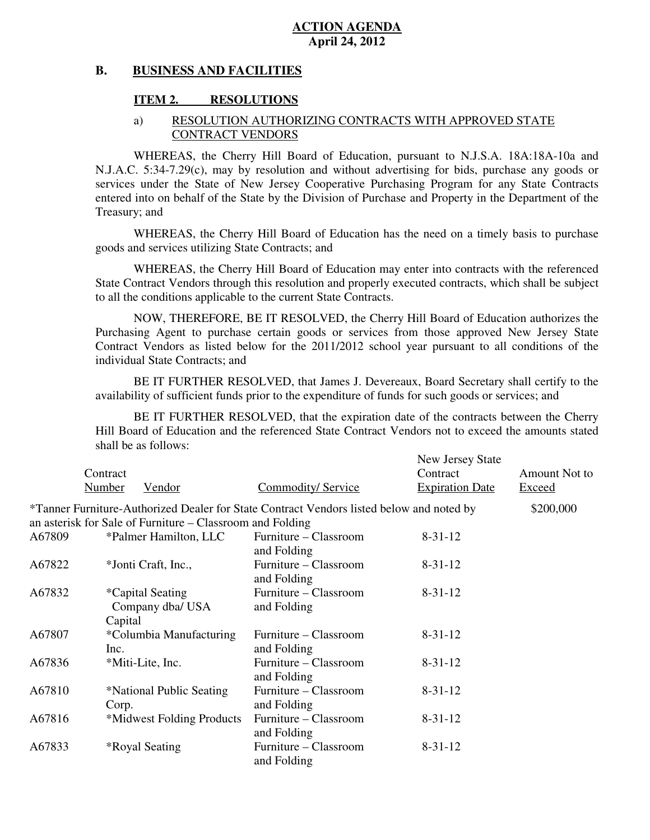#### **B. BUSINESS AND FACILITIES**

#### **ITEM 2. RESOLUTIONS**

#### a) RESOLUTION AUTHORIZING CONTRACTS WITH APPROVED STATE CONTRACT VENDORS

 WHEREAS, the Cherry Hill Board of Education, pursuant to N.J.S.A. 18A:18A-10a and N.J.A.C. 5:34-7.29(c), may by resolution and without advertising for bids, purchase any goods or services under the State of New Jersey Cooperative Purchasing Program for any State Contracts entered into on behalf of the State by the Division of Purchase and Property in the Department of the Treasury; and

 WHEREAS, the Cherry Hill Board of Education has the need on a timely basis to purchase goods and services utilizing State Contracts; and

 WHEREAS, the Cherry Hill Board of Education may enter into contracts with the referenced State Contract Vendors through this resolution and properly executed contracts, which shall be subject to all the conditions applicable to the current State Contracts.

 NOW, THEREFORE, BE IT RESOLVED, the Cherry Hill Board of Education authorizes the Purchasing Agent to purchase certain goods or services from those approved New Jersey State Contract Vendors as listed below for the 2011/2012 school year pursuant to all conditions of the individual State Contracts; and

 availability of sufficient funds prior to the expenditure of funds for such goods or services; and BE IT FURTHER RESOLVED, that James J. Devereaux, Board Secretary shall certify to the

 Hill Board of Education and the referenced State Contract Vendors not to exceed the amounts stated shall be as follows: BE IT FURTHER RESOLVED, that the expiration date of the contracts between the Cherry

|        | Contract |                                                           |                                                                                          | New Jersey State<br>Contract | Amount Not to |
|--------|----------|-----------------------------------------------------------|------------------------------------------------------------------------------------------|------------------------------|---------------|
|        | Number   | Vendor                                                    | Commodity/ Service                                                                       | <b>Expiration Date</b>       | Exceed        |
|        |          |                                                           | *Tanner Furniture-Authorized Dealer for State Contract Vendors listed below and noted by |                              | \$200,000     |
|        |          | an asterisk for Sale of Furniture – Classroom and Folding |                                                                                          |                              |               |
| A67809 |          | *Palmer Hamilton, LLC                                     | Furniture – Classroom<br>and Folding                                                     | $8 - 31 - 12$                |               |
| A67822 |          | *Jonti Craft, Inc.,                                       | Furniture – Classroom<br>and Folding                                                     | $8 - 31 - 12$                |               |
| A67832 | Capital  | <i>*</i> Capital Seating<br>Company dba/ USA              | Furniture – Classroom<br>and Folding                                                     | $8 - 31 - 12$                |               |
| A67807 | Inc.     | *Columbia Manufacturing                                   | Furniture – Classroom<br>and Folding                                                     | $8 - 31 - 12$                |               |
| A67836 |          | *Miti-Lite, Inc.                                          | Furniture – Classroom<br>and Folding                                                     | $8 - 31 - 12$                |               |
| A67810 | Corp.    | *National Public Seating                                  | Furniture – Classroom<br>and Folding                                                     | $8 - 31 - 12$                |               |
| A67816 |          | *Midwest Folding Products                                 | Furniture – Classroom<br>and Folding                                                     | $8 - 31 - 12$                |               |
| A67833 |          | <i><b>*Royal Seating</b></i>                              | Furniture – Classroom<br>and Folding                                                     | $8 - 31 - 12$                |               |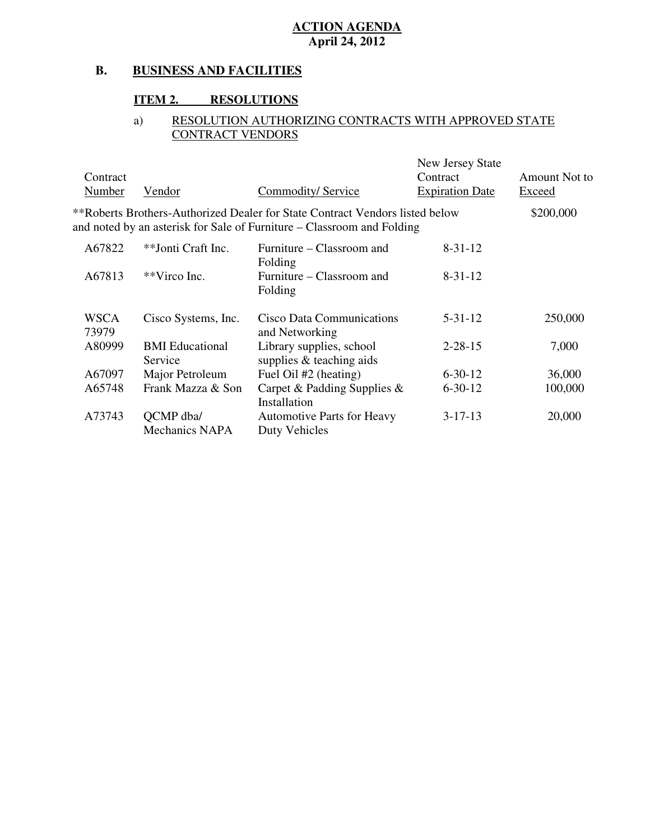#### **B. BUSINESS AND FACILITIES**

#### **ITEM 2. RESOLUTIONS**

#### a) RESOLUTION AUTHORIZING CONTRACTS WITH APPROVED STATE CONTRACT VENDORS

| Contract<br>Number   | Vendor                             | <b>Commodity/ Service</b>                                                                                                                              | New Jersey State<br>Contract<br><b>Expiration Date</b> | Amount Not to<br>Exceed |
|----------------------|------------------------------------|--------------------------------------------------------------------------------------------------------------------------------------------------------|--------------------------------------------------------|-------------------------|
|                      |                                    | **Roberts Brothers-Authorized Dealer for State Contract Vendors listed below<br>and noted by an asterisk for Sale of Furniture – Classroom and Folding |                                                        | \$200,000               |
| A67822               | **Jonti Craft Inc.                 | Furniture – Classroom and<br>Folding                                                                                                                   | $8 - 31 - 12$                                          |                         |
| A67813               | **Virco Inc.                       | Furniture – Classroom and<br>Folding                                                                                                                   | $8 - 31 - 12$                                          |                         |
| <b>WSCA</b><br>73979 | Cisco Systems, Inc.                | Cisco Data Communications<br>and Networking                                                                                                            | $5 - 31 - 12$                                          | 250,000                 |
| A80999               | <b>BMI</b> Educational<br>Service  | Library supplies, school<br>supplies & teaching aids                                                                                                   | $2 - 28 - 15$                                          | 7,000                   |
| A67097               | Major Petroleum                    | Fuel Oil #2 (heating)                                                                                                                                  | $6 - 30 - 12$                                          | 36,000                  |
| A65748               | Frank Mazza & Son                  | Carpet & Padding Supplies &<br>Installation                                                                                                            | $6 - 30 - 12$                                          | 100,000                 |
| A73743               | QCMP dba/<br><b>Mechanics NAPA</b> | <b>Automotive Parts for Heavy</b><br>Duty Vehicles                                                                                                     | $3 - 17 - 13$                                          | 20,000                  |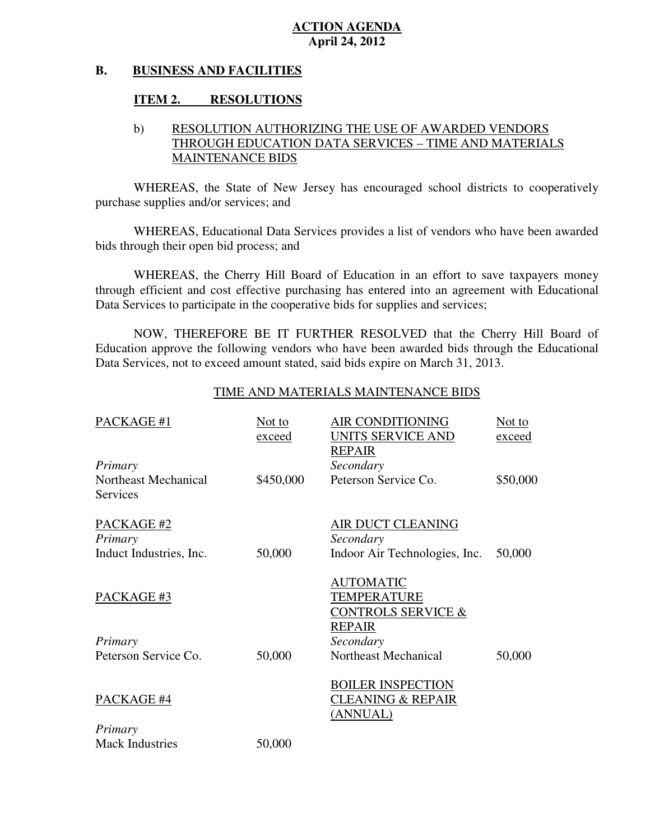#### **B. BUSINESS AND FACILITIES**

## **ITEM 2. RESOLUTIONS**

## b) RESOLUTION AUTHORIZING THE USE OF AWARDED VENDORS THROUGH EDUCATION DATA SERVICES – TIME AND MATERIALS MAINTENANCE BIDS

 WHEREAS, the State of New Jersey has encouraged school districts to cooperatively purchase supplies and/or services; and

 WHEREAS, Educational Data Services provides a list of vendors who have been awarded bids through their open bid process; and

 WHEREAS, the Cherry Hill Board of Education in an effort to save taxpayers money through efficient and cost effective purchasing has entered into an agreement with Educational Data Services to participate in the cooperative bids for supplies and services;

 NOW, THEREFORE BE IT FURTHER RESOLVED that the Cherry Hill Board of Education approve the following vendors who have been awarded bids through the Educational Data Services, not to exceed amount stated, said bids expire on March 31, 2013.

#### TIME AND MATERIALS MAINTENANCE BIDS

| PACKAGE #1                       | Not to<br>exceed | <b>AIR CONDITIONING</b><br>UNITS SERVICE AND<br><b>REPAIR</b>                     | Not to<br>exceed |
|----------------------------------|------------------|-----------------------------------------------------------------------------------|------------------|
| Primary                          |                  | Secondary                                                                         |                  |
| Northeast Mechanical<br>Services | \$450,000        | Peterson Service Co.                                                              | \$50,000         |
| PACKAGE #2<br>Primary            |                  | AIR DUCT CLEANING<br>Secondary                                                    |                  |
| Induct Industries, Inc.          | 50,000           | Indoor Air Technologies, Inc.                                                     | 50,000           |
| PACKAGE#3                        |                  | <b>AUTOMATIC</b><br>TEMPERATURE<br><b>CONTROLS SERVICE &amp;</b><br><b>REPAIR</b> |                  |
| Primary                          |                  | Secondary                                                                         |                  |
| Peterson Service Co.             | 50,000           | Northeast Mechanical                                                              | 50,000           |
| PACKAGE #4<br>Primary            |                  | <b>BOILER INSPECTION</b><br><b>CLEANING &amp; REPAIR</b><br>(ANNUAL)              |                  |
| <b>Mack Industries</b>           | 50,000           |                                                                                   |                  |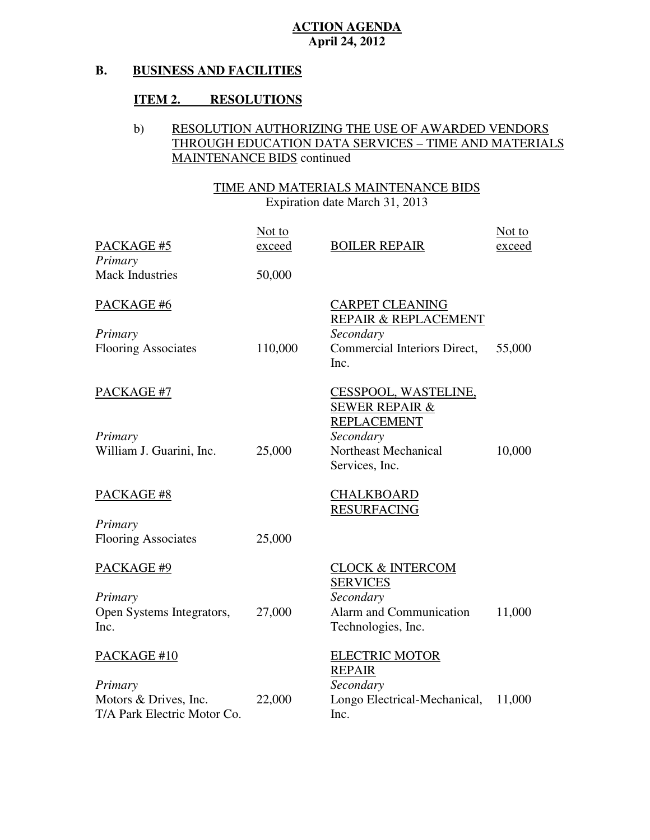#### **B. BUSINESS AND FACILITIES**

## **ITEM 2. RESOLUTIONS**

## b) RESOLUTION AUTHORIZING THE USE OF AWARDED VENDORS THROUGH EDUCATION DATA SERVICES – TIME AND MATERIALS MAINTENANCE BIDS continued

# TIME AND MATERIALS MAINTENANCE BIDS

| PACKAGE #5<br>Primary<br><b>Mack Industries</b>            | Not to<br>exceed<br>50,000 | <b>BOILER REPAIR</b>                                                                                                           | Not to<br>exceed |
|------------------------------------------------------------|----------------------------|--------------------------------------------------------------------------------------------------------------------------------|------------------|
| PACKAGE #6<br>Primary<br><b>Flooring Associates</b>        | 110,000                    | <b>CARPET CLEANING</b><br>REPAIR & REPLACEMENT<br>Secondary<br>Commercial Interiors Direct,<br>Inc.                            | 55,000           |
| PACKAGE #7<br>Primary<br>William J. Guarini, Inc.          | 25,000                     | CESSPOOL, WASTELINE,<br><b>SEWER REPAIR &amp;</b><br><b>REPLACEMENT</b><br>Secondary<br>Northeast Mechanical<br>Services, Inc. | 10,000           |
| PACKAGE #8                                                 |                            | <b>CHALKBOARD</b><br><b>RESURFACING</b>                                                                                        |                  |
| Primary<br><b>Flooring Associates</b>                      | 25,000                     |                                                                                                                                |                  |
| PACKAGE #9<br>Primary<br>Open Systems Integrators,<br>Inc. | 27,000                     | <b>CLOCK &amp; INTERCOM</b><br><b>SERVICES</b><br>Secondary<br>Alarm and Communication<br>Technologies, Inc.                   | 11,000           |
| PACKAGE #10<br>Primary                                     |                            | <b>ELECTRIC MOTOR</b><br><b>REPAIR</b><br>Secondary                                                                            |                  |
| Motors & Drives, Inc.<br>T/A Park Electric Motor Co.       | 22,000                     | Longo Electrical-Mechanical,<br>Inc.                                                                                           | 11,000           |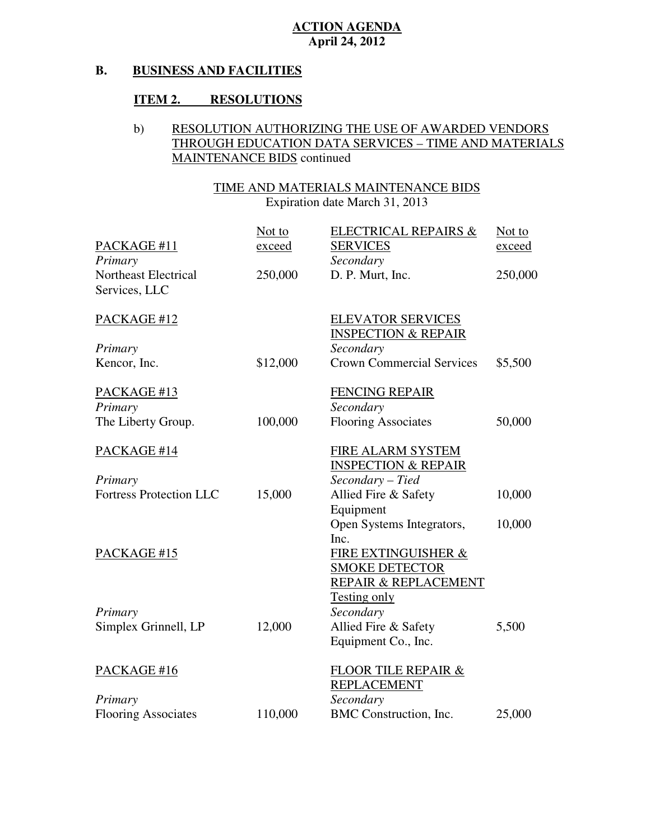#### **B. BUSINESS AND FACILITIES**

## **ITEM 2. RESOLUTIONS**

## b) RESOLUTION AUTHORIZING THE USE OF AWARDED VENDORS THROUGH EDUCATION DATA SERVICES – TIME AND MATERIALS MAINTENANCE BIDS continued

## TIME AND MATERIALS MAINTENANCE BIDS

| PACKAGE #11<br>Primary                       | Not to<br>exceed | <b>ELECTRICAL REPAIRS &amp;</b><br><b>SERVICES</b><br>Secondary | Not to<br><u>exceed</u> |
|----------------------------------------------|------------------|-----------------------------------------------------------------|-------------------------|
| <b>Northeast Electrical</b><br>Services, LLC | 250,000          | D. P. Murt, Inc.                                                | 250,000                 |
| PACKAGE #12                                  |                  | <b>ELEVATOR SERVICES</b><br><b>INSPECTION &amp; REPAIR</b>      |                         |
| Primary                                      |                  | Secondary                                                       |                         |
| Kencor, Inc.                                 | \$12,000         | <b>Crown Commercial Services</b>                                | \$5,500                 |
| PACKAGE #13                                  |                  | <b>FENCING REPAIR</b>                                           |                         |
| Primary                                      |                  | Secondary                                                       |                         |
| The Liberty Group.                           | 100,000          | <b>Flooring Associates</b>                                      | 50,000                  |
| PACKAGE #14                                  |                  | FIRE ALARM SYSTEM<br><b>INSPECTION &amp; REPAIR</b>             |                         |
| Primary                                      |                  | Secondary - Tied                                                |                         |
| <b>Fortress Protection LLC</b>               | 15,000           | Allied Fire & Safety<br>Equipment                               | 10,000                  |
|                                              |                  | Open Systems Integrators,                                       | 10,000                  |
| PACKAGE #15                                  |                  | Inc.<br>FIRE EXTINGUISHER &                                     |                         |
|                                              |                  | <b>SMOKE DETECTOR</b>                                           |                         |
|                                              |                  | REPAIR & REPLACEMENT<br><b>Testing only</b>                     |                         |
| Primary                                      |                  | Secondary                                                       |                         |
| Simplex Grinnell, LP                         | 12,000           | Allied Fire & Safety                                            | 5,500                   |
|                                              |                  | Equipment Co., Inc.                                             |                         |
| PACKAGE #16                                  |                  | <b>FLOOR TILE REPAIR &amp;</b>                                  |                         |
|                                              |                  | <b>REPLACEMENT</b>                                              |                         |
| Primary                                      |                  | Secondary                                                       |                         |
| <b>Flooring Associates</b>                   | 110,000          | BMC Construction, Inc.                                          | 25,000                  |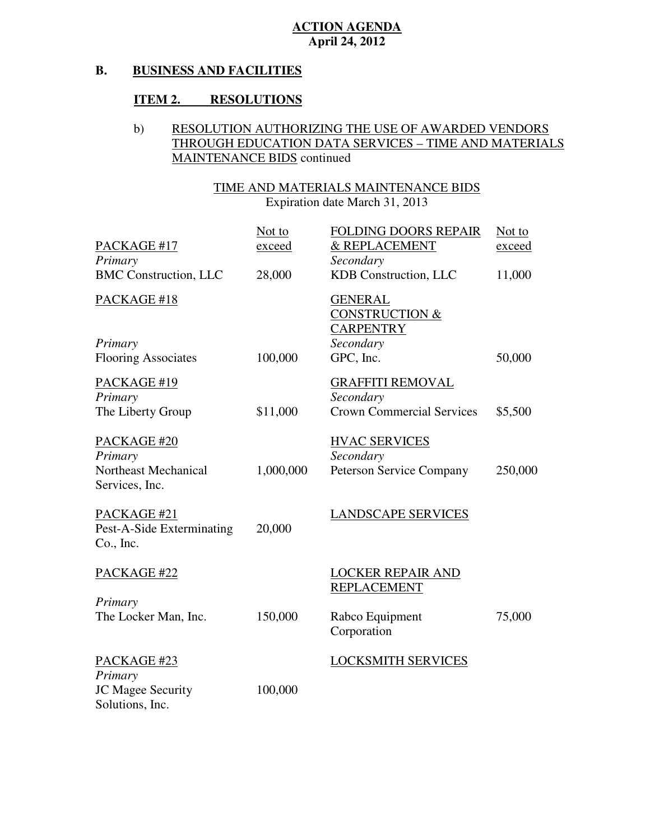#### **B. BUSINESS AND FACILITIES**

## **ITEM 2. RESOLUTIONS**

## b) RESOLUTION AUTHORIZING THE USE OF AWARDED VENDORS THROUGH EDUCATION DATA SERVICES – TIME AND MATERIALS MAINTENANCE BIDS continued

### TIME AND MATERIALS MAINTENANCE BIDS

| PACKAGE #17<br>Primary                                | Not to<br><u>exceed</u> | FOLDING DOORS REPAIR<br>& REPLACEMENT<br>Secondary                           | Not to<br><u>exceed</u> |
|-------------------------------------------------------|-------------------------|------------------------------------------------------------------------------|-------------------------|
| <b>BMC</b> Construction, LLC                          | 28,000                  | KDB Construction, LLC                                                        | 11,000                  |
| PACKAGE #18<br>Primary                                |                         | <b>GENERAL</b><br><b>CONSTRUCTION &amp;</b><br><b>CARPENTRY</b><br>Secondary |                         |
| <b>Flooring Associates</b>                            | 100,000                 | GPC, Inc.                                                                    | 50,000                  |
| PACKAGE #19<br>Primary                                |                         | <b>GRAFFITI REMOVAL</b><br>Secondary                                         |                         |
| The Liberty Group                                     | \$11,000                | <b>Crown Commercial Services</b>                                             | \$5,500                 |
| PACKAGE #20<br>Primary                                |                         | <b>HVAC SERVICES</b><br>Secondary                                            |                         |
| Northeast Mechanical<br>Services, Inc.                | 1,000,000               | <b>Peterson Service Company</b>                                              | 250,000                 |
| PACKAGE #21<br>Pest-A-Side Exterminating<br>Co., Inc. | 20,000                  | <b>LANDSCAPE SERVICES</b>                                                    |                         |
| PACKAGE #22                                           |                         | <b>LOCKER REPAIR AND</b><br><b>REPLACEMENT</b>                               |                         |
| Primary<br>The Locker Man, Inc.                       | 150,000                 | Rabco Equipment<br>Corporation                                               | 75,000                  |
| PACKAGE #23<br>Primary                                |                         | <b>LOCKSMITH SERVICES</b>                                                    |                         |
| JC Magee Security<br>Solutions, Inc.                  | 100,000                 |                                                                              |                         |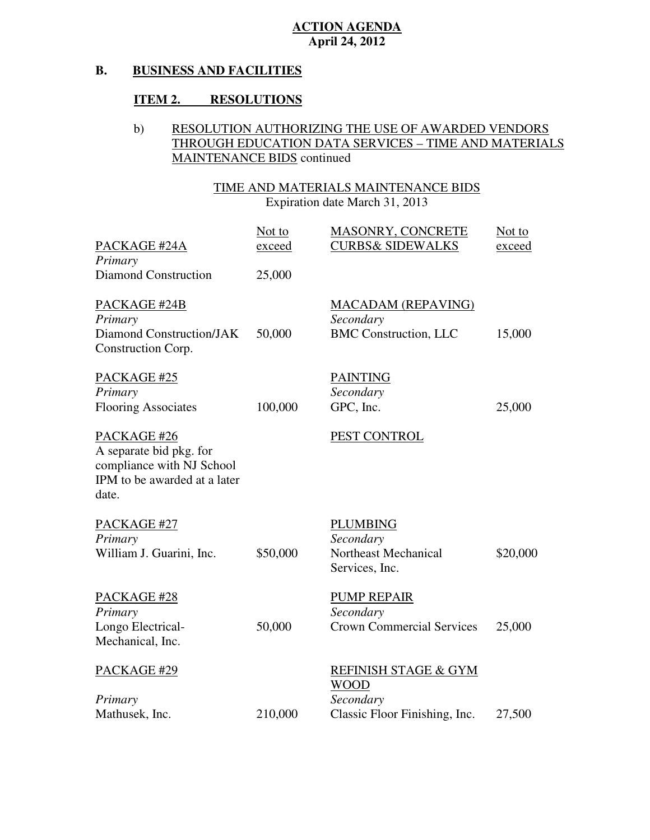#### **B. BUSINESS AND FACILITIES**

## **ITEM 2. RESOLUTIONS**

## b) RESOLUTION AUTHORIZING THE USE OF AWARDED VENDORS THROUGH EDUCATION DATA SERVICES – TIME AND MATERIALS MAINTENANCE BIDS continued

## TIME AND MATERIALS MAINTENANCE BIDS

| PACKAGE #24A<br>Primary                                                                                      | Not to<br>exceed | MASONRY, CONCRETE<br><b>CURBS&amp; SIDEWALKS</b>                                  | Not to<br><u>exceed</u> |
|--------------------------------------------------------------------------------------------------------------|------------------|-----------------------------------------------------------------------------------|-------------------------|
| Diamond Construction                                                                                         | 25,000           |                                                                                   |                         |
| PACKAGE #24B<br>Primary<br>Diamond Construction/JAK<br>Construction Corp.                                    | 50,000           | <b>MACADAM (REPAVING)</b><br>Secondary<br><b>BMC</b> Construction, LLC            | 15,000                  |
| PACKAGE #25<br>Primary<br><b>Flooring Associates</b>                                                         | 100,000          | <b>PAINTING</b><br>Secondary<br>GPC, Inc.                                         | 25,000                  |
| PACKAGE #26<br>A separate bid pkg. for<br>compliance with NJ School<br>IPM to be awarded at a later<br>date. |                  | PEST CONTROL                                                                      |                         |
| PACKAGE #27<br>Primary<br>William J. Guarini, Inc.                                                           | \$50,000         | <b>PLUMBING</b><br>Secondary<br>Northeast Mechanical<br>Services, Inc.            | \$20,000                |
| PACKAGE #28<br>Primary<br>Longo Electrical-<br>Mechanical, Inc.                                              | 50,000           | <b>PUMP REPAIR</b><br>Secondary<br><b>Crown Commercial Services</b>               | 25,000                  |
| PACKAGE #29<br>Primary<br>Mathusek, Inc.                                                                     | 210,000          | REFINISH STAGE & GYM<br><b>WOOD</b><br>Secondary<br>Classic Floor Finishing, Inc. | 27,500                  |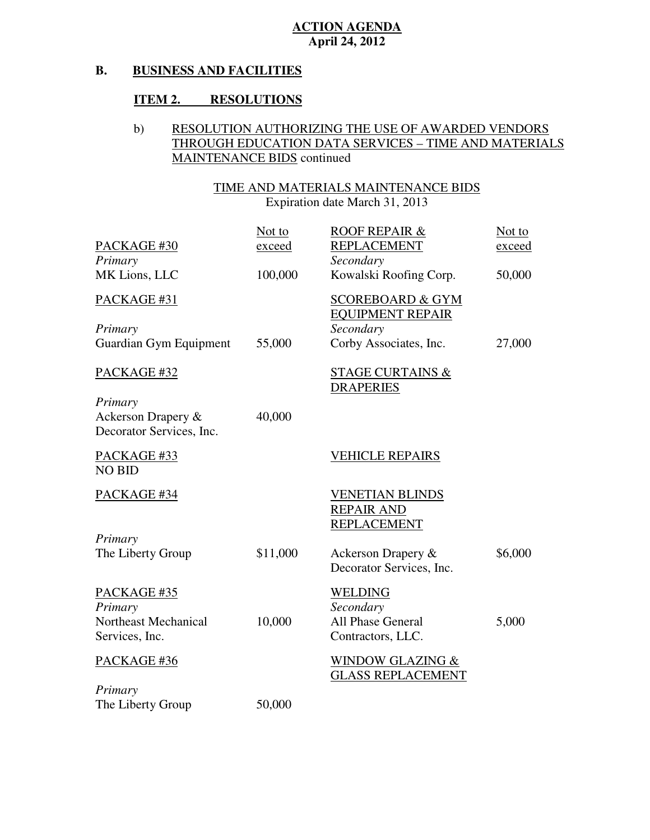#### **B. BUSINESS AND FACILITIES**

## **ITEM 2. RESOLUTIONS**

## b) RESOLUTION AUTHORIZING THE USE OF AWARDED VENDORS THROUGH EDUCATION DATA SERVICES – TIME AND MATERIALS MAINTENANCE BIDS continued

### TIME AND MATERIALS MAINTENANCE BIDS

| PACKAGE #30                                               | Not to<br><u>exceed</u> | <b>ROOF REPAIR &amp;</b><br><b>REPLACEMENT</b><br>Secondary | Not to<br>exceed |
|-----------------------------------------------------------|-------------------------|-------------------------------------------------------------|------------------|
| Primary<br>MK Lions, LLC                                  | 100,000                 | Kowalski Roofing Corp.                                      | 50,000           |
| PACKAGE #31                                               |                         | <b>SCOREBOARD &amp; GYM</b><br><b>EQUIPMENT REPAIR</b>      |                  |
| Primary                                                   |                         | Secondary                                                   |                  |
| Guardian Gym Equipment                                    | 55,000                  | Corby Associates, Inc.                                      | 27,000           |
| PACKAGE #32                                               |                         | <b>STAGE CURTAINS &amp;</b><br><b>DRAPERIES</b>             |                  |
| Primary<br>Ackerson Drapery &<br>Decorator Services, Inc. | 40,000                  |                                                             |                  |
| PACKAGE #33<br><b>NO BID</b>                              |                         | <b>VEHICLE REPAIRS</b>                                      |                  |
| PACKAGE #34                                               |                         | <b>VENETIAN BLINDS</b><br><b>REPAIR AND</b><br>REPLACEMENT  |                  |
| Primary                                                   |                         |                                                             |                  |
| The Liberty Group                                         | \$11,000                | Ackerson Drapery &<br>Decorator Services, Inc.              | \$6,000          |
| PACKAGE #35<br>Primary                                    |                         | <b>WELDING</b><br>Secondary                                 |                  |
| Northeast Mechanical                                      | 10,000                  | All Phase General                                           | 5,000            |
| Services, Inc.                                            |                         | Contractors, LLC.                                           |                  |
| PACKAGE #36                                               |                         | <b>WINDOW GLAZING &amp;</b><br><b>GLASS REPLACEMENT</b>     |                  |
| Primary                                                   |                         |                                                             |                  |
| The Liberty Group                                         | 50,000                  |                                                             |                  |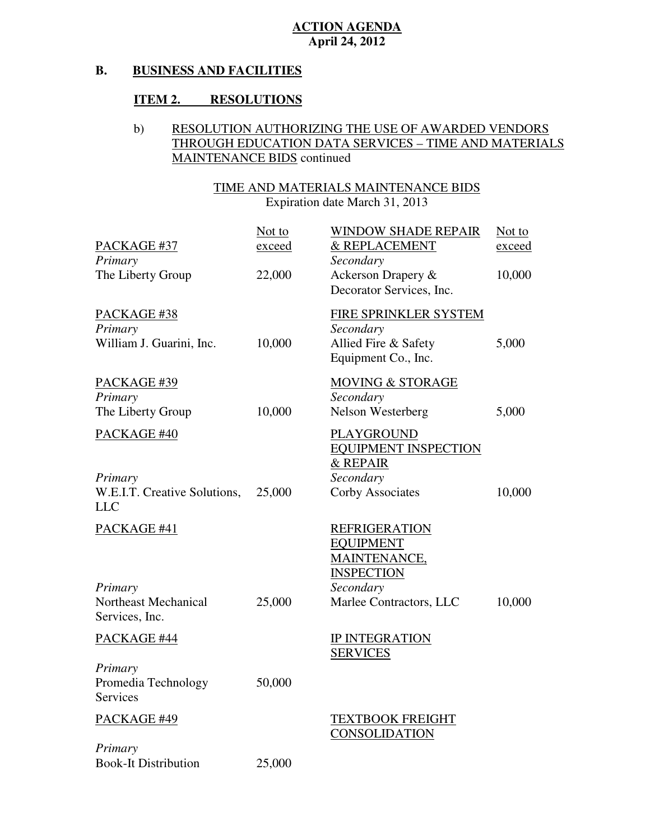#### **B. BUSINESS AND FACILITIES**

## **ITEM 2. RESOLUTIONS**

## b) RESOLUTION AUTHORIZING THE USE OF AWARDED VENDORS THROUGH EDUCATION DATA SERVICES – TIME AND MATERIALS MAINTENANCE BIDS continued

## TIME AND MATERIALS MAINTENANCE BIDS

| PACKAGE #37<br>Primary<br>The Liberty Group           | Not to<br>exceed<br>22,000 | <b>WINDOW SHADE REPAIR</b><br>& REPLACEMENT<br>Secondary<br>Ackerson Drapery &<br>Decorator Services, Inc. | Not to<br><u>exceed</u><br>10,000 |
|-------------------------------------------------------|----------------------------|------------------------------------------------------------------------------------------------------------|-----------------------------------|
| PACKAGE #38<br>Primary<br>William J. Guarini, Inc.    | 10,000                     | FIRE SPRINKLER SYSTEM<br>Secondary<br>Allied Fire & Safety<br>Equipment Co., Inc.                          | 5,000                             |
| PACKAGE #39<br>Primary<br>The Liberty Group           | 10,000                     | <b>MOVING &amp; STORAGE</b><br>Secondary<br>Nelson Westerberg                                              | 5,000                             |
| PACKAGE #40                                           |                            | <b>PLAYGROUND</b><br><b>EQUIPMENT INSPECTION</b><br>& REPAIR                                               |                                   |
| Primary<br>W.E.I.T. Creative Solutions,<br><b>LLC</b> | 25,000                     | Secondary<br>Corby Associates                                                                              | 10,000                            |
| PACKAGE #41                                           |                            | <b>REFRIGERATION</b><br><b>EQUIPMENT</b><br>MAINTENANCE,<br><b>INSPECTION</b>                              |                                   |
| Primary<br>Northeast Mechanical<br>Services, Inc.     | 25,000                     | Secondary<br>Marlee Contractors, LLC                                                                       | 10,000                            |
| PACKAGE #44                                           |                            | <b>IP INTEGRATION</b><br><b>SERVICES</b>                                                                   |                                   |
| Primary<br>Promedia Technology<br><b>Services</b>     | 50,000                     |                                                                                                            |                                   |
| PACKAGE #49                                           |                            | <b>TEXTBOOK FREIGHT</b><br><b>CONSOLIDATION</b>                                                            |                                   |
| Primary<br><b>Book-It Distribution</b>                | 25,000                     |                                                                                                            |                                   |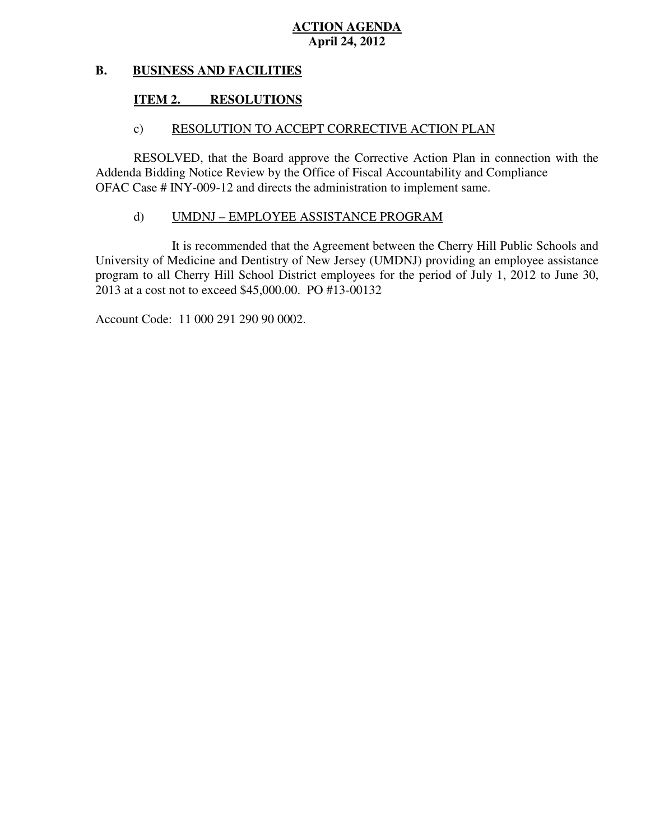#### **B. BUSINESS AND FACILITIES**

#### **ITEM 2. RESOLUTIONS**

## c) RESOLUTION TO ACCEPT CORRECTIVE ACTION PLAN

 RESOLVED, that the Board approve the Corrective Action Plan in connection with the Addenda Bidding Notice Review by the Office of Fiscal Accountability and Compliance OFAC Case # INY-009-12 and directs the administration to implement same.

### d) UMDNJ – EMPLOYEE ASSISTANCE PROGRAM

 University of Medicine and Dentistry of New Jersey (UMDNJ) providing an employee assistance program to all Cherry Hill School District employees for the period of July 1, 2012 to June 30, 2013 at a cost not to exceed \$45,000.00. PO #13-00132 It is recommended that the Agreement between the Cherry Hill Public Schools and

Account Code: 11 000 291 290 90 0002.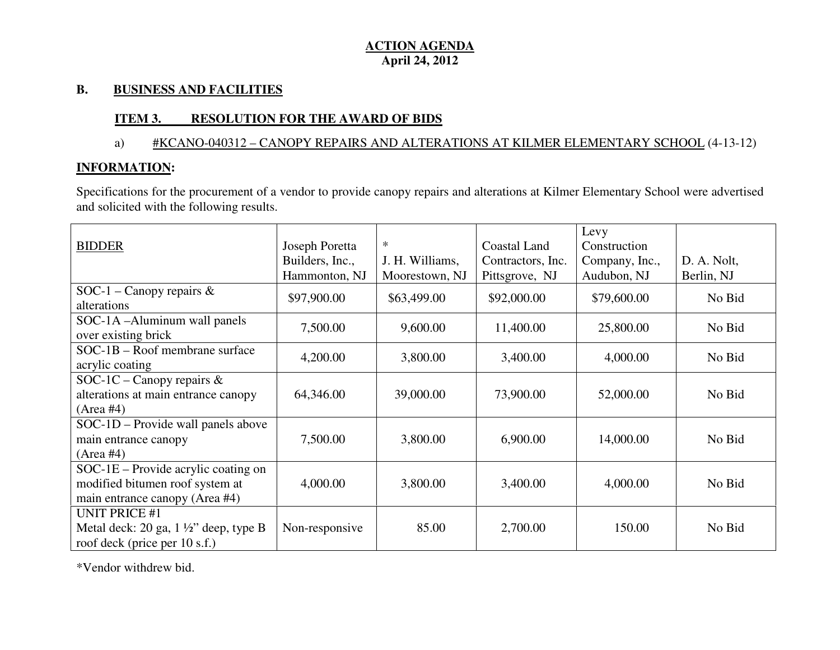### **B. BUSINESS AND FACILITIES**

## **ITEM 3. RESOLUTION FOR THE AWARD OF BIDS**

## a) #KCANO-040312 – CANOPY REPAIRS AND ALTERATIONS AT KILMER ELEMENTARY SCHOOL (4-13-12)

## **INFORMATION:**

Specifications for the procurement of a vendor to provide canopy repairs and alterations at Kilmer Elementary School were advertised and solicited with the following results.

|                                                  |                 |                 |                   | Levy           |             |
|--------------------------------------------------|-----------------|-----------------|-------------------|----------------|-------------|
| <b>BIDDER</b>                                    | Joseph Poretta  | $\ast$          | Coastal Land      | Construction   |             |
|                                                  | Builders, Inc., | J. H. Williams, | Contractors, Inc. | Company, Inc., | D. A. Nolt, |
|                                                  | Hammonton, NJ   | Moorestown, NJ  | Pittsgrove, NJ    | Audubon, NJ    | Berlin, NJ  |
| SOC-1 – Canopy repairs $\&$                      |                 |                 |                   |                | No Bid      |
| alterations                                      | \$97,900.00     | \$63,499.00     | \$92,000.00       | \$79,600.00    |             |
| SOC-1A-Aluminum wall panels                      | 7,500.00        | 9,600.00        |                   |                | No Bid      |
| over existing brick                              |                 |                 | 11,400.00         | 25,800.00      |             |
| $SOC-1B - Root$ membrane surface                 | 4,200.00        | 3,800.00        |                   |                | No Bid      |
| acrylic coating                                  |                 |                 | 3,400.00          | 4,000.00       |             |
| SOC-1C – Canopy repairs $\&$                     |                 |                 |                   |                |             |
| alterations at main entrance canopy              | 64,346.00       | 39,000.00       | 73,900.00         | 52,000.00      | No Bid      |
| (Area #4)                                        |                 |                 |                   |                |             |
| SOC-1D – Provide wall panels above               |                 |                 |                   |                |             |
| main entrance canopy                             | 7,500.00        | 3,800.00        | 6,900.00          | 14,000.00      | No Bid      |
| (Area #4)                                        |                 |                 |                   |                |             |
| SOC-1E - Provide acrylic coating on              |                 |                 |                   |                |             |
| modified bitumen roof system at                  | 4,000.00        | 3,800.00        | 3,400.00          | 4,000.00       | No Bid      |
| main entrance canopy (Area #4)                   |                 |                 |                   |                |             |
| <b>UNIT PRICE #1</b>                             |                 |                 |                   |                |             |
| Metal deck: 20 ga, $1\frac{1}{2}$ " deep, type B | Non-responsive  | 85.00           | 2,700.00          | 150.00         | No Bid      |
| roof deck (price per 10 s.f.)                    |                 |                 |                   |                |             |

\*Vendor withdrew bid.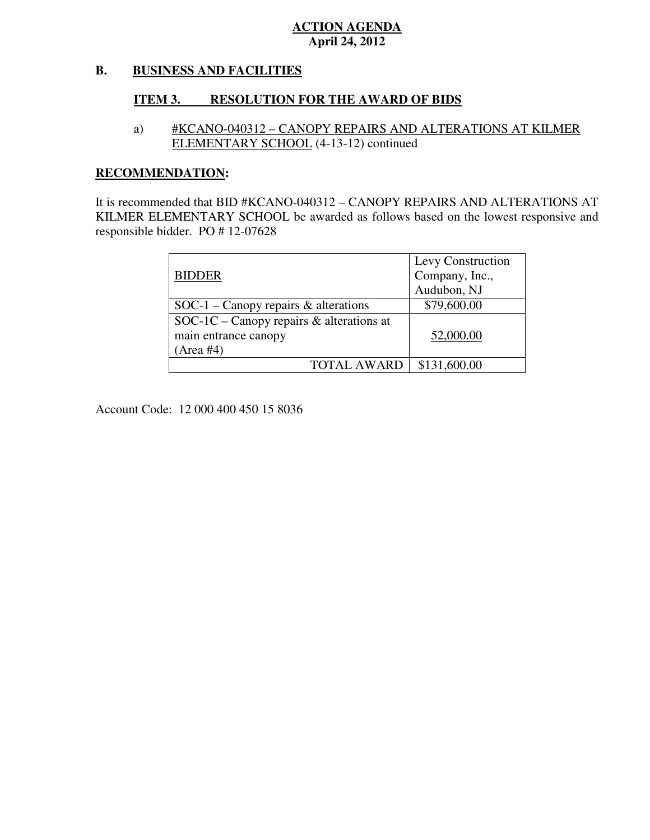#### **B. BUSINESS AND FACILITIES**

## **ITEM 3. RESOLUTION FOR THE AWARD OF BIDS**

 a) #KCANO-040312 – CANOPY REPAIRS AND ALTERATIONS AT KILMER ELEMENTARY SCHOOL (4-13-12) continued

## **RECOMMENDATION:**

 It is recommended that BID #KCANO-040312 – CANOPY REPAIRS AND ALTERATIONS AT KILMER ELEMENTARY SCHOOL be awarded as follows based on the lowest responsive and responsible bidder. PO # 12-07628

|                                             | Levy Construction |
|---------------------------------------------|-------------------|
| <b>BIDDER</b>                               | Company, Inc.,    |
|                                             | Audubon, NJ       |
| $SOC-1$ – Canopy repairs & alterations      | \$79,600.00       |
| SOC-1C – Canopy repairs $\&$ alterations at |                   |
| main entrance canopy                        | 52,000.00         |
| (Area #4)                                   |                   |
| <b>TOTAL AWARD</b>                          | \$131,600.00      |

Account Code: 12 000 400 450 15 8036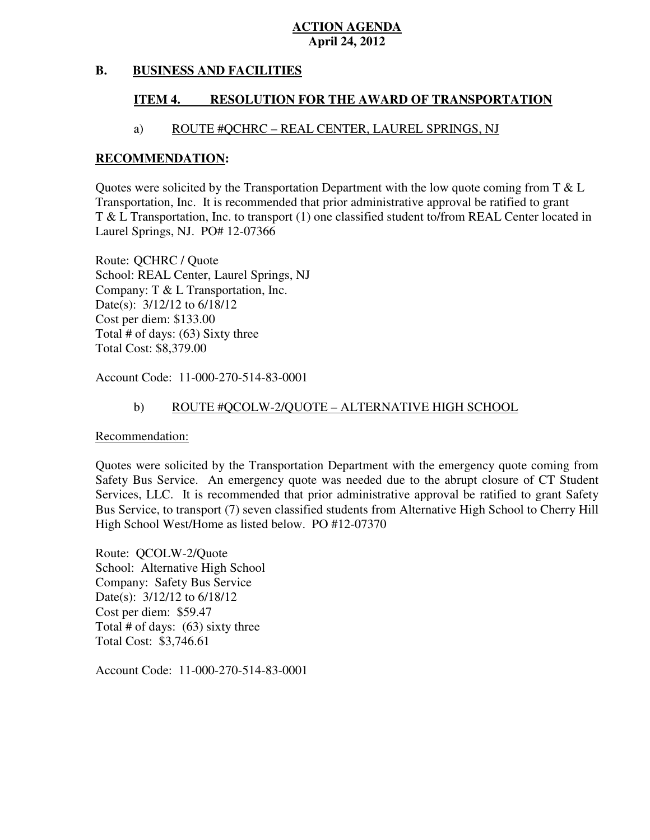#### **B. BUSINESS AND FACILITIES**

#### **ITEM 4. RESOLUTION FOR THE AWARD OF TRANSPORTATION**

### a) ROUTE #QCHRC – REAL CENTER, LAUREL SPRINGS, NJ

#### **RECOMMENDATION:**

Quotes were solicited by the Transportation Department with the low quote coming from  $T \& L$  Transportation, Inc. It is recommended that prior administrative approval be ratified to grant T & L Transportation, Inc. to transport (1) one classified student to/from REAL Center located in Laurel Springs, NJ. PO# 12-07366

 Route: QCHRC / Quote School: REAL Center, Laurel Springs, NJ Company: T & L Transportation, Inc. Date(s): 3/12/12 to 6/18/12 Cost per diem: \$133.00 Total # of days: (63) Sixty three Total Cost: \$8,379.00

Account Code: 11-000-270-514-83-0001

#### b) ROUTE #QCOLW-2/QUOTE – ALTERNATIVE HIGH SCHOOL

Recommendation:

 Quotes were solicited by the Transportation Department with the emergency quote coming from Safety Bus Service. An emergency quote was needed due to the abrupt closure of CT Student Services, LLC. It is recommended that prior administrative approval be ratified to grant Safety Bus Service, to transport (7) seven classified students from Alternative High School to Cherry Hill High School West/Home as listed below. PO #12-07370

 Route: QCOLW-2/Quote School: Alternative High School Company: Safety Bus Service Date(s): 3/12/12 to 6/18/12 Cost per diem: \$59.47 Total # of days: (63) sixty three Total Cost: \$3,746.61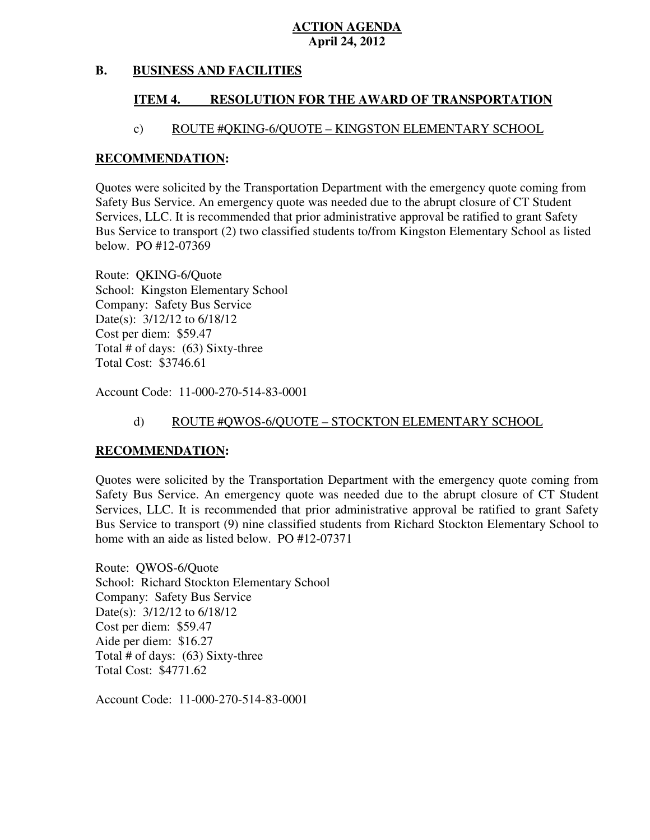#### **B. BUSINESS AND FACILITIES**

#### **ITEM 4. RESOLUTION FOR THE AWARD OF TRANSPORTATION**

### c) ROUTE #QKING-6/QUOTE – KINGSTON ELEMENTARY SCHOOL

#### **RECOMMENDATION:**

 Quotes were solicited by the Transportation Department with the emergency quote coming from Safety Bus Service. An emergency quote was needed due to the abrupt closure of CT Student Services, LLC. It is recommended that prior administrative approval be ratified to grant Safety Bus Service to transport (2) two classified students to/from Kingston Elementary School as listed below. PO #12-07369

 Route: QKING-6/Quote School: Kingston Elementary School Company: Safety Bus Service Date(s): 3/12/12 to 6/18/12 Cost per diem: \$59.47 Total # of days: (63) Sixty-three Total Cost: \$3746.61

Account Code: 11-000-270-514-83-0001

### d) ROUTE #QWOS-6/QUOTE – STOCKTON ELEMENTARY SCHOOL

### **RECOMMENDATION:**

 Quotes were solicited by the Transportation Department with the emergency quote coming from Safety Bus Service. An emergency quote was needed due to the abrupt closure of CT Student Services, LLC. It is recommended that prior administrative approval be ratified to grant Safety Bus Service to transport (9) nine classified students from Richard Stockton Elementary School to home with an aide as listed below. PO #12-07371

 Route: QWOS-6/Quote School: Richard Stockton Elementary School Company: Safety Bus Service Date(s): 3/12/12 to 6/18/12 Cost per diem: \$59.47 Aide per diem: \$16.27 Total # of days: (63) Sixty-three Total Cost: \$4771.62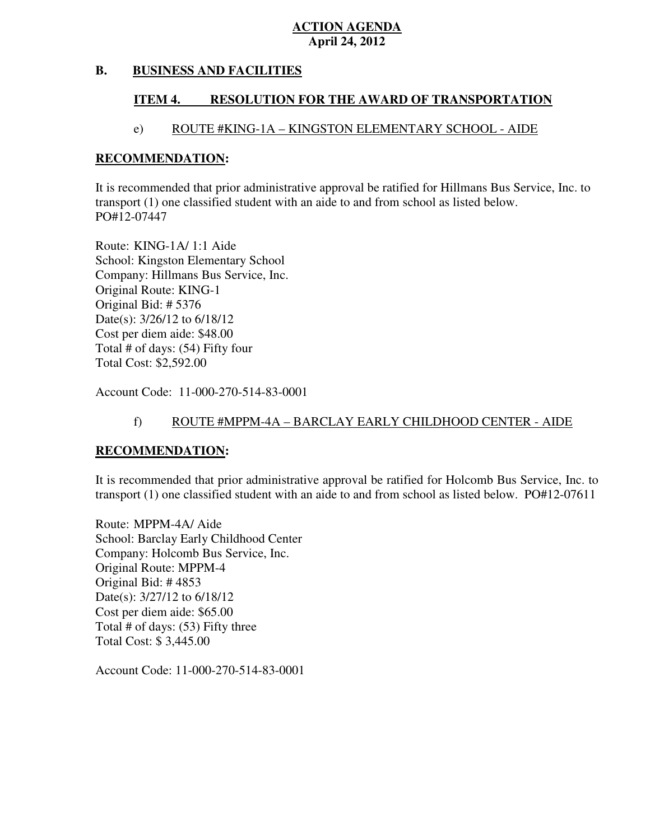#### **B. BUSINESS AND FACILITIES**

#### **ITEM 4. RESOLUTION FOR THE AWARD OF TRANSPORTATION**

### e) ROUTE #KING-1A – KINGSTON ELEMENTARY SCHOOL - AIDE

#### **RECOMMENDATION:**

 It is recommended that prior administrative approval be ratified for Hillmans Bus Service, Inc. to transport (1) one classified student with an aide to and from school as listed below. PO#12-07447

 Route: KING-1A/ 1:1 Aide School: Kingston Elementary School Company: Hillmans Bus Service, Inc. Original Route: KING-1 Original Bid: # 5376 Date(s): 3/26/12 to 6/18/12 Cost per diem aide: \$48.00 Total # of days: (54) Fifty four Total Cost: \$2,592.00

Account Code: 11-000-270-514-83-0001

### f) ROUTE #MPPM-4A – BARCLAY EARLY CHILDHOOD CENTER - AIDE

### **RECOMMENDATION:**

 It is recommended that prior administrative approval be ratified for Holcomb Bus Service, Inc. to transport (1) one classified student with an aide to and from school as listed below. PO#12-07611

 Route: MPPM-4A/ Aide School: Barclay Early Childhood Center Company: Holcomb Bus Service, Inc. Original Route: MPPM-4 Original Bid: # 4853 Date(s): 3/27/12 to 6/18/12 Cost per diem aide: \$65.00 Total # of days: (53) Fifty three Total Cost: \$ 3,445.00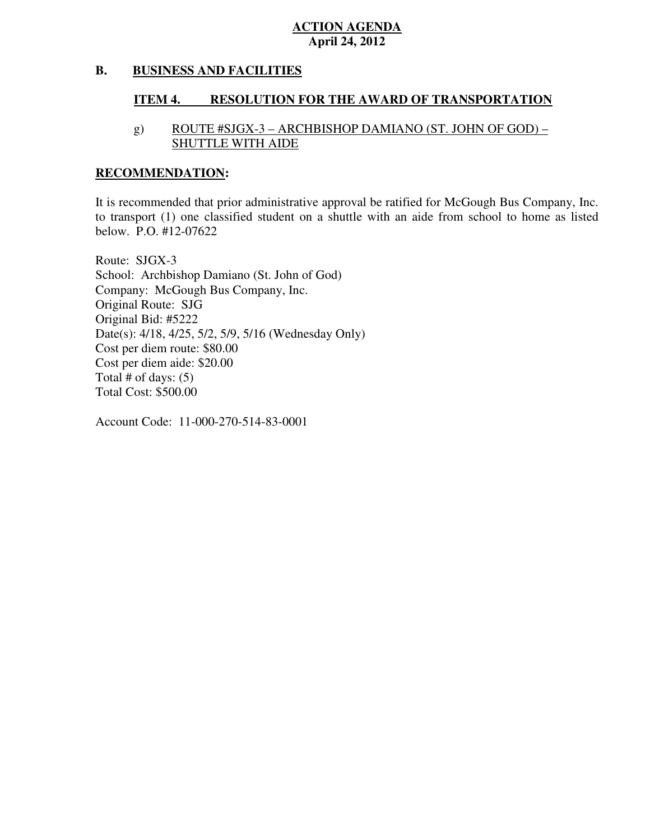#### **B. BUSINESS AND FACILITIES**

#### **ITEM 4. RESOLUTION FOR THE AWARD OF TRANSPORTATION**

## g) ROUTE #SJGX-3 – ARCHBISHOP DAMIANO (ST. JOHN OF GOD) – SHUTTLE WITH AIDE

#### **RECOMMENDATION:**

 It is recommended that prior administrative approval be ratified for McGough Bus Company, Inc. to transport (1) one classified student on a shuttle with an aide from school to home as listed below. P.O. #12-07622

 Route: SJGX-3 School: Archbishop Damiano (St. John of God) Company: McGough Bus Company, Inc. Original Route: SJG Original Bid: #5222 Date(s): 4/18, 4/25, 5/2, 5/9, 5/16 (Wednesday Only) Cost per diem route: \$80.00 Cost per diem aide: \$20.00 Total # of days: (5) Total Cost: \$500.00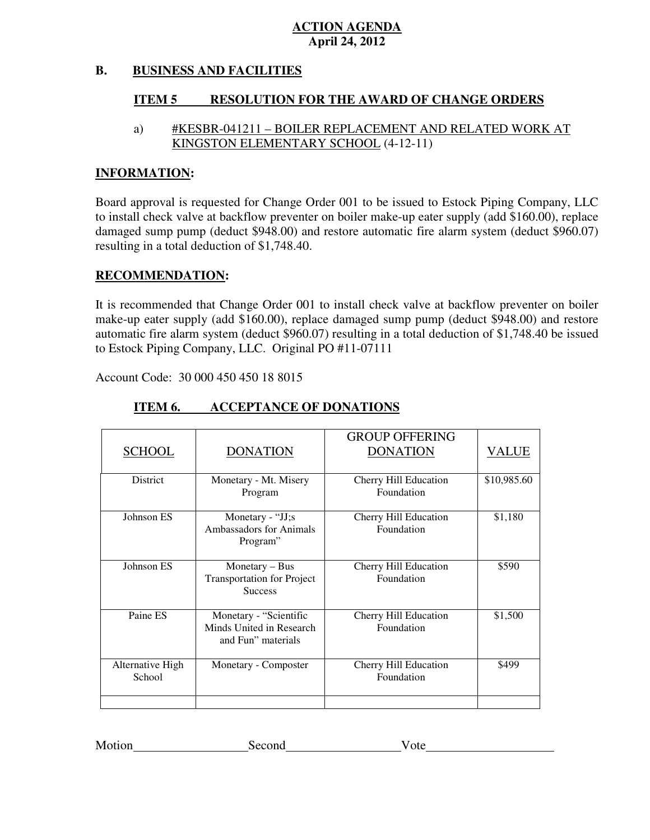#### **B. BUSINESS AND FACILITIES**

#### **ITEM 5 RESOLUTION FOR THE AWARD OF CHANGE ORDERS**

## a) #KESBR-041211 – BOILER REPLACEMENT AND RELATED WORK AT KINGSTON ELEMENTARY SCHOOL (4-12-11)

#### **INFORMATION:**

 Board approval is requested for Change Order 001 to be issued to Estock Piping Company, LLC to install check valve at backflow preventer on boiler make-up eater supply (add \$160.00), replace damaged sump pump (deduct \$948.00) and restore automatic fire alarm system (deduct \$960.07) resulting in a total deduction of \$1,748.40.

#### **RECOMMENDATION:**

 It is recommended that Change Order 001 to install check valve at backflow preventer on boiler make-up eater supply (add \$160.00), replace damaged sump pump (deduct \$948.00) and restore automatic fire alarm system (deduct \$960.07) resulting in a total deduction of \$1,748.40 be issued to Estock Piping Company, LLC. Original PO #11-07111

Account Code: 30 000 450 450 18 8015

| <b>SCHOOL</b>              | <b>DONATION</b>                                                          | <b>GROUP OFFERING</b><br><b>DONATION</b> | VALUE       |
|----------------------------|--------------------------------------------------------------------------|------------------------------------------|-------------|
| <b>District</b>            | Monetary - Mt. Misery<br>Program                                         | Cherry Hill Education<br>Foundation      | \$10,985.60 |
| Johnson ES                 | Monetary - "JJ;s<br>Ambassadors for Animals<br>Program"                  | Cherry Hill Education<br>Foundation      | \$1,180     |
| Johnson ES                 | Monetary $-$ Bus<br><b>Transportation for Project</b><br><b>Success</b>  | Cherry Hill Education<br>Foundation      | \$590       |
| Paine ES                   | Monetary - "Scientific<br>Minds United in Research<br>and Fun" materials | Cherry Hill Education<br>Foundation      | \$1,500     |
| Alternative High<br>School | Monetary - Composter                                                     | Cherry Hill Education<br>Foundation      | \$499       |
|                            |                                                                          |                                          |             |

#### **ITEM 6. INCCEPTANCE OF DONATIONS**

| Motion | Second | v ote |
|--------|--------|-------|
|        |        |       |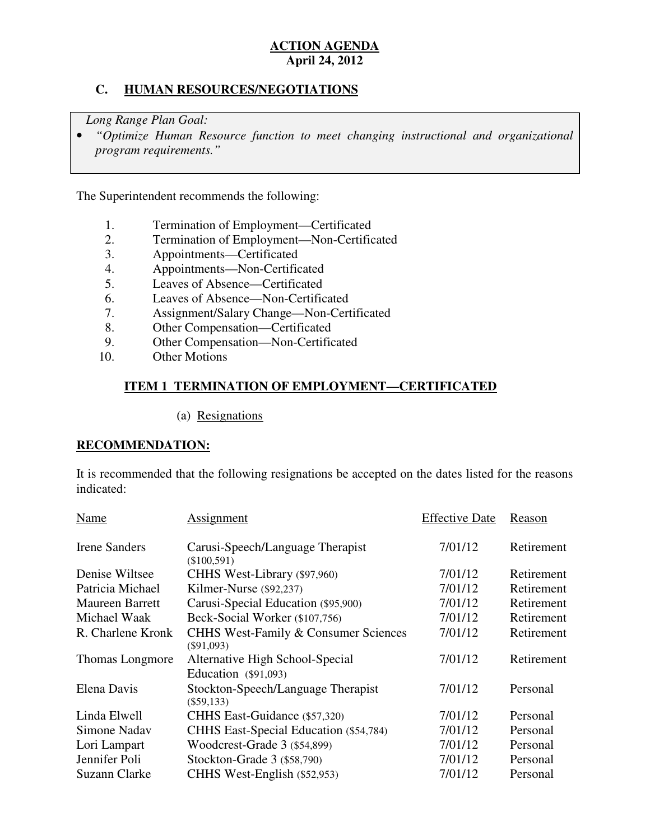## **C. HUMAN RESOURCES/NEGOTIATIONS**

*Long Range Plan Goal:* 

**•** "Optimize Human Resource function to meet changing instructional and organizational *program requirements."* 

The Superintendent recommends the following:

- 1. Termination of Employment—Certificated
- 2. Termination of Employment—Non-Certificated
- 3. Appointments—Certificated
- 4. Appointments—Non-Certificated
- 5. Leaves of Absence—Certificated
- 6. Leaves of Absence—Non-Certificated
- 7. Assignment/Salary Change—Non-Certificated
- 8. Other Compensation—Certificated
- 9. Other Compensation—Non-Certificated
- 10. **Other Motions**

## **ITEM 1 TERMINATION OF EMPLOYMENT—CERTIFICATED**

(a) Resignations

## **RECOMMENDATION:**

 It is recommended that the following resignations be accepted on the dates listed for the reasons indicated:

| Name                   | Assignment                                                      | <b>Effective Date</b> | Reason     |
|------------------------|-----------------------------------------------------------------|-----------------------|------------|
| <b>Irene Sanders</b>   | Carusi-Speech/Language Therapist<br>$(\$100,591)$               | 7/01/12               | Retirement |
| Denise Wiltsee         | CHHS West-Library (\$97,960)                                    | 7/01/12               | Retirement |
| Patricia Michael       | Kilmer-Nurse (\$92,237)                                         | 7/01/12               | Retirement |
| <b>Maureen Barrett</b> | Carusi-Special Education (\$95,900)                             | 7/01/12               | Retirement |
| Michael Waak           | Beck-Social Worker (\$107,756)                                  | 7/01/12               | Retirement |
| R. Charlene Kronk      | <b>CHHS West-Family &amp; Consumer Sciences</b><br>$(\$91,093)$ | 7/01/12               | Retirement |
| Thomas Longmore        | Alternative High School-Special<br>Education $(\$91,093)$       | 7/01/12               | Retirement |
| Elena Davis            | Stockton-Speech/Language Therapist<br>$(\$59,133)$              | 7/01/12               | Personal   |
| Linda Elwell           | CHHS East-Guidance (\$57,320)                                   | 7/01/12               | Personal   |
| Simone Nadav           | CHHS East-Special Education (\$54,784)                          | 7/01/12               | Personal   |
| Lori Lampart           | Woodcrest-Grade 3 (\$54,899)                                    | 7/01/12               | Personal   |
| Jennifer Poli          | Stockton-Grade 3 (\$58,790)                                     | 7/01/12               | Personal   |
| Suzann Clarke          | CHHS West-English (\$52,953)                                    | 7/01/12               | Personal   |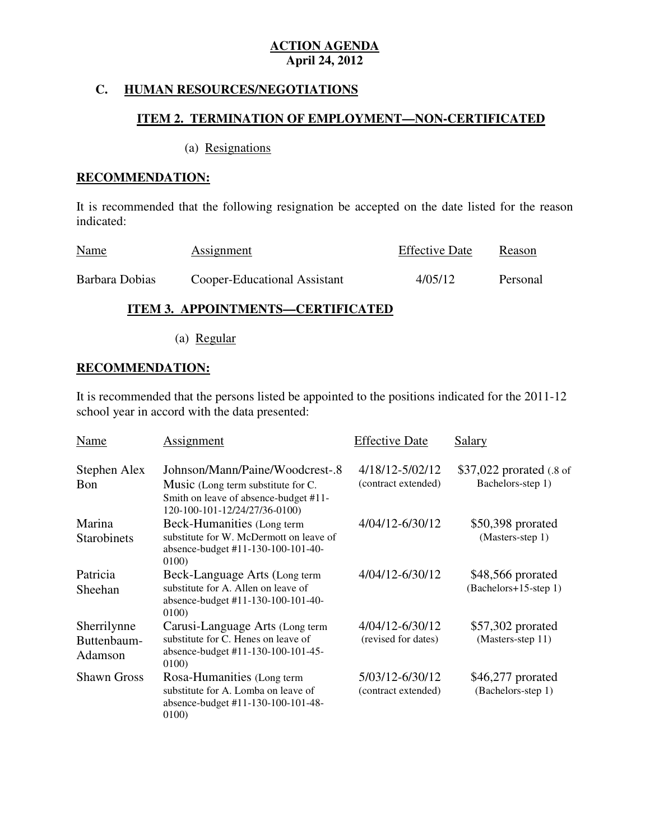## **C. HUMAN RESOURCES/NEGOTIATIONS**

## **ITEM 2. TERMINATION OF EMPLOYMENT—NON-CERTIFICATED**

#### (a) Resignations

### **RECOMMENDATION:**

 It is recommended that the following resignation be accepted on the date listed for the reason indicated:

| <b>Name</b>    | <b>Assignment</b>            | <b>Effective Date</b> | Reason   |
|----------------|------------------------------|-----------------------|----------|
| Barbara Dobias | Cooper-Educational Assistant | 4/05/12               | Personal |

## **ITEM 3. APPOINTMENTS—CERTIFICATED**

(a) Regular

## **RECOMMENDATION:**

 It is recommended that the persons listed be appointed to the positions indicated for the 2011-12 school year in accord with the data presented:

| Name                                  | Assignment                                                                                                                                            | <b>Effective Date</b>                  | Salary                                        |
|---------------------------------------|-------------------------------------------------------------------------------------------------------------------------------------------------------|----------------------------------------|-----------------------------------------------|
| Stephen Alex<br>Bon                   | Johnson/Mann/Paine/Woodcrest-.8<br>Music (Long term substitute for C.<br>Smith on leave of absence-budget #11-                                        | 4/18/12-5/02/12<br>(contract extended) | \$37,022 prorated (.8 of<br>Bachelors-step 1) |
| Marina<br><b>Starobinets</b>          | 120-100-101-12/24/27/36-0100)<br>Beck-Humanities (Long term<br>substitute for W. McDermott on leave of<br>absence-budget #11-130-100-101-40-<br>0100) | 4/04/12-6/30/12                        | \$50,398 prorated<br>(Masters-step 1)         |
| Patricia<br>Sheehan                   | Beck-Language Arts (Long term<br>substitute for A. Allen on leave of<br>absence-budget #11-130-100-101-40-<br>0100)                                   | 4/04/12-6/30/12                        | \$48,566 prorated<br>(Bachelors+15-step 1)    |
| Sherrilynne<br>Buttenbaum-<br>Adamson | Carusi-Language Arts (Long term<br>substitute for C. Henes on leave of<br>absence-budget #11-130-100-101-45-<br>0100)                                 | 4/04/12-6/30/12<br>(revised for dates) | \$57,302 prorated<br>(Masters-step 11)        |
| <b>Shawn Gross</b>                    | Rosa-Humanities (Long term<br>substitute for A. Lomba on leave of<br>absence-budget #11-130-100-101-48-<br>0100)                                      | 5/03/12-6/30/12<br>(contract extended) | $$46,277$ prorated<br>(Bachelors-step 1)      |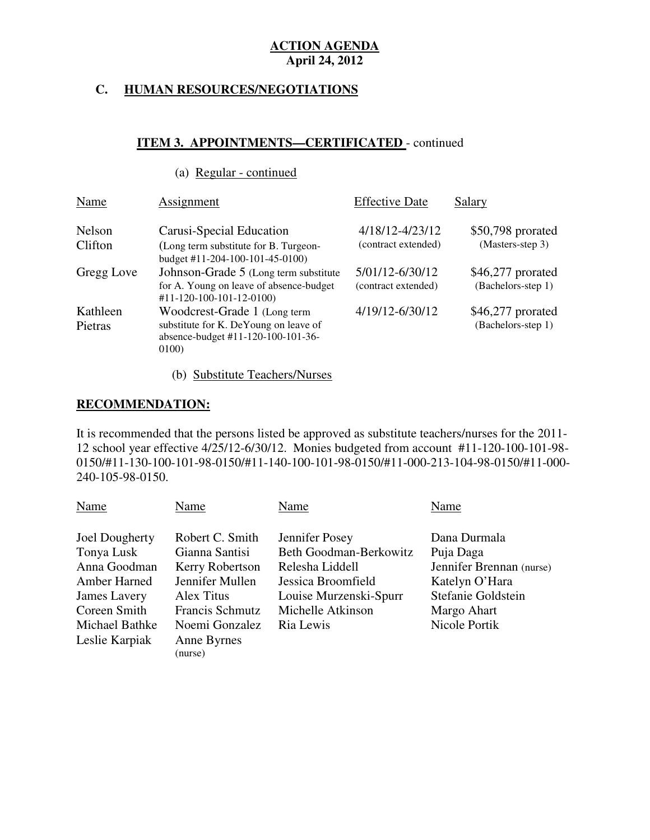## **C. HUMAN RESOURCES/NEGOTIATIONS**

## **ITEM 3. APPOINTMENTS—CERTIFICATED** - continued

## (a) Regular - continued

| Name                       | Assignment                                                                                                           | <b>Effective Date</b>                  | Salary                                   |
|----------------------------|----------------------------------------------------------------------------------------------------------------------|----------------------------------------|------------------------------------------|
| Nelson<br>Clifton          | Carusi-Special Education<br>(Long term substitute for B. Turgeon-<br>budget #11-204-100-101-45-0100)                 | 4/18/12-4/23/12<br>(contract extended) | \$50,798 prorated<br>(Masters-step 3)    |
| Gregg Love                 | Johnson-Grade 5 (Long term substitute)<br>for A. Young on leave of absence-budget<br>$#11-120-100-101-12-0100$       | 5/01/12-6/30/12<br>(contract extended) | $$46,277$ prorated<br>(Bachelors-step 1) |
| Kathleen<br><b>Pietras</b> | Woodcrest-Grade 1 (Long term<br>substitute for K. DeYoung on leave of<br>absence-budget #11-120-100-101-36-<br>0100) | 4/19/12-6/30/12                        | $$46,277$ prorated<br>(Bachelors-step 1) |

## (b) Substitute Teachers/Nurses

## **RECOMMENDATION:**

 It is recommended that the persons listed be approved as substitute teachers/nurses for the 2011 12 school year effective 4/25/12-6/30/12. Monies budgeted from account #11-120-100-101-98 0150/#11-130-100-101-98-0150/#11-140-100-101-98-0150/#11-000-213-104-98-0150/#11-000 240-105-98-0150.

| Name           | Name                   | Name                   | Name                     |
|----------------|------------------------|------------------------|--------------------------|
|                |                        |                        |                          |
| Joel Dougherty | Robert C. Smith        | Jennifer Posey         | Dana Durmala             |
| Tonya Lusk     | Gianna Santisi         | Beth Goodman-Berkowitz | Puja Daga                |
| Anna Goodman   | Kerry Robertson        | Relesha Liddell        | Jennifer Brennan (nurse) |
| Amber Harned   | Jennifer Mullen        | Jessica Broomfield     | Katelyn O'Hara           |
| James Lavery   | Alex Titus             | Louise Murzenski-Spurr | Stefanie Goldstein       |
| Coreen Smith   | Francis Schmutz        | Michelle Atkinson      | Margo Ahart              |
| Michael Bathke | Noemi Gonzalez         | Ria Lewis              | Nicole Portik            |
| Leslie Karpiak | Anne Byrnes<br>(nurse) |                        |                          |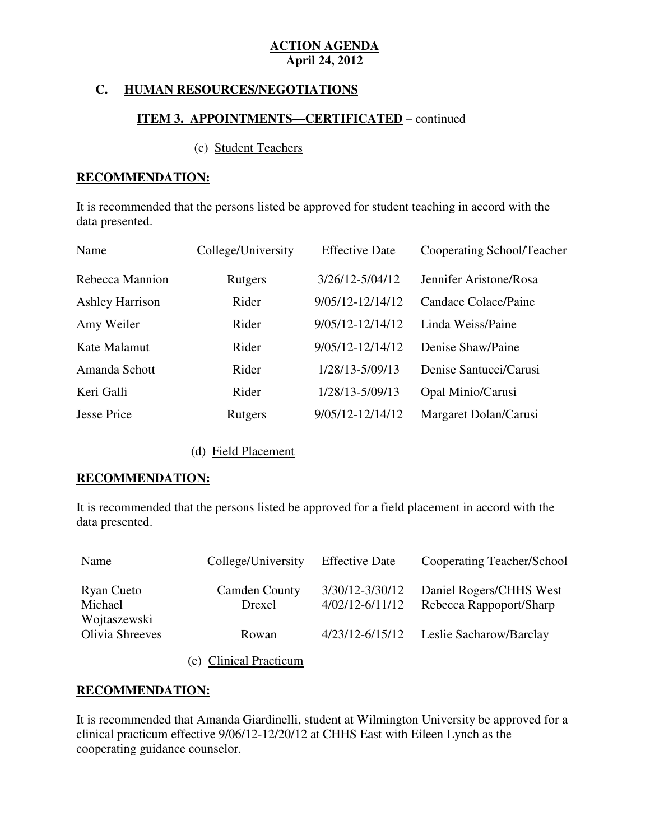## **C. HUMAN RESOURCES/NEGOTIATIONS**

### **ITEM 3. APPOINTMENTS—CERTIFICATED** – continued

### (c) Student Teachers

### **RECOMMENDATION:**

 It is recommended that the persons listed be approved for student teaching in accord with the data presented.

| Name                   | College/University | <b>Effective Date</b> | <b>Cooperating School/Teacher</b> |
|------------------------|--------------------|-----------------------|-----------------------------------|
| Rebecca Mannion        | Rutgers            | 3/26/12-5/04/12       | Jennifer Aristone/Rosa            |
| <b>Ashley Harrison</b> | Rider              | 9/05/12-12/14/12      | Candace Colace/Paine              |
| Amy Weiler             | Rider              | 9/05/12-12/14/12      | Linda Weiss/Paine                 |
| Kate Malamut           | Rider              | 9/05/12-12/14/12      | Denise Shaw/Paine                 |
| Amanda Schott          | Rider              | 1/28/13-5/09/13       | Denise Santucci/Carusi            |
| Keri Galli             | Rider              | 1/28/13-5/09/13       | Opal Minio/Carusi                 |
| <b>Jesse Price</b>     | Rutgers            | 9/05/12-12/14/12      | Margaret Dolan/Carusi             |

### (d) Field Placement

### **RECOMMENDATION:**

 It is recommended that the persons listed be approved for a field placement in accord with the data presented.

| Name                                  | College/University             | <b>Effective Date</b>                  | Cooperating Teacher/School                         |
|---------------------------------------|--------------------------------|----------------------------------------|----------------------------------------------------|
| Ryan Cueto<br>Michael<br>Wojtaszewski | <b>Camden County</b><br>Drexel | 3/30/12-3/30/12<br>$4/02/12 - 6/11/12$ | Daniel Rogers/CHHS West<br>Rebecca Rappoport/Sharp |
| Olivia Shreeves                       | Rowan                          | 4/23/12-6/15/12                        | Leslie Sacharow/Barclay                            |
|                                       | (e) Clinical Practicum         |                                        |                                                    |

## **RECOMMENDATION:**

 It is recommended that Amanda Giardinelli, student at Wilmington University be approved for a clinical practicum effective 9/06/12-12/20/12 at CHHS East with Eileen Lynch as the cooperating guidance counselor.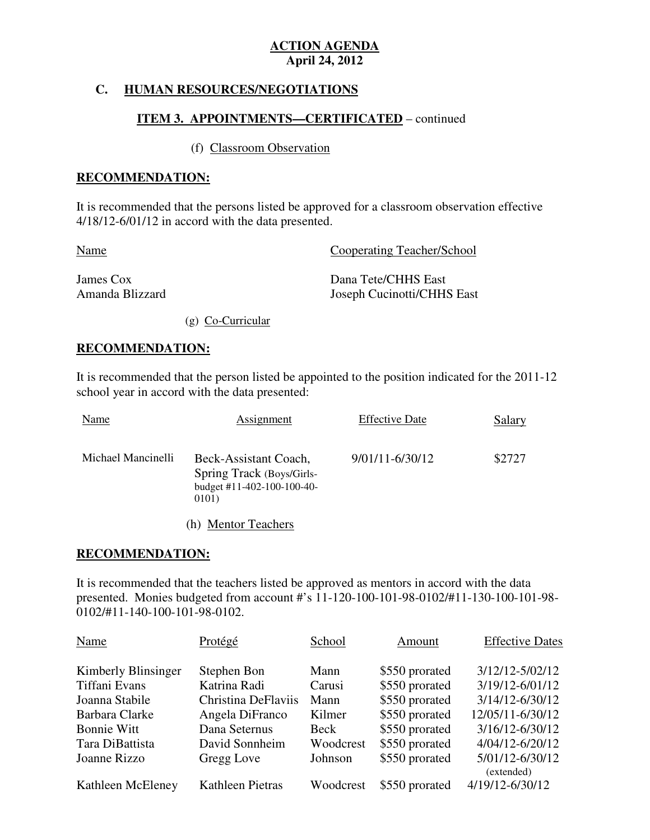## **C. HUMAN RESOURCES/NEGOTIATIONS**

### **ITEM 3. APPOINTMENTS—CERTIFICATED** – continued

## (f) Classroom Observation

#### **RECOMMENDATION:**

 It is recommended that the persons listed be approved for a classroom observation effective 4/18/12-6/01/12 in accord with the data presented.

| <b>Name</b>     | Cooperating Teacher/School |
|-----------------|----------------------------|
| James Cox       | Dana Tete/CHHS East        |
| Amanda Blizzard | Joseph Cucinotti/CHHS East |

(g) Co-Curricular

#### **RECOMMENDATION:**

 It is recommended that the person listed be appointed to the position indicated for the 2011-12 school year in accord with the data presented:

| Name               | Assignment                                                                                | <b>Effective Date</b> | Salary |
|--------------------|-------------------------------------------------------------------------------------------|-----------------------|--------|
| Michael Mancinelli | Beck-Assistant Coach,<br>Spring Track (Boys/Girls-<br>budget #11-402-100-100-40-<br>0101) | 9/01/11-6/30/12       | \$2727 |
|                    | (h) Mentor Teachers                                                                       |                       |        |

#### **RECOMMENDATION:**

 It is recommended that the teachers listed be approved as mentors in accord with the data presented. Monies budgeted from account #'s 11-120-100-101-98-0102/#11-130-100-101-98 0102/#11-140-100-101-98-0102.

| Name                | Protégé             | School    | Amount         | <b>Effective Dates</b> |
|---------------------|---------------------|-----------|----------------|------------------------|
| Kimberly Blinsinger | Stephen Bon         | Mann      | \$550 prorated | 3/12/12-5/02/12        |
| Tiffani Evans       | Katrina Radi        | Carusi    | \$550 prorated | 3/19/12-6/01/12        |
| Joanna Stabile      | Christina DeFlaviis | Mann      | \$550 prorated | 3/14/12-6/30/12        |
| Barbara Clarke      | Angela DiFranco     | Kilmer    | \$550 prorated | 12/05/11-6/30/12       |
| <b>Bonnie Witt</b>  | Dana Seternus       | Beck      | \$550 prorated | 3/16/12-6/30/12        |
| Tara DiBattista     | David Sonnheim      | Woodcrest | \$550 prorated | 4/04/12-6/20/12        |
| Joanne Rizzo        | Gregg Love          | Johnson   | \$550 prorated | 5/01/12-6/30/12        |
|                     |                     |           |                | (extended)             |
| Kathleen McEleney   | Kathleen Pietras    | Woodcrest | \$550 prorated | 4/19/12-6/30/12        |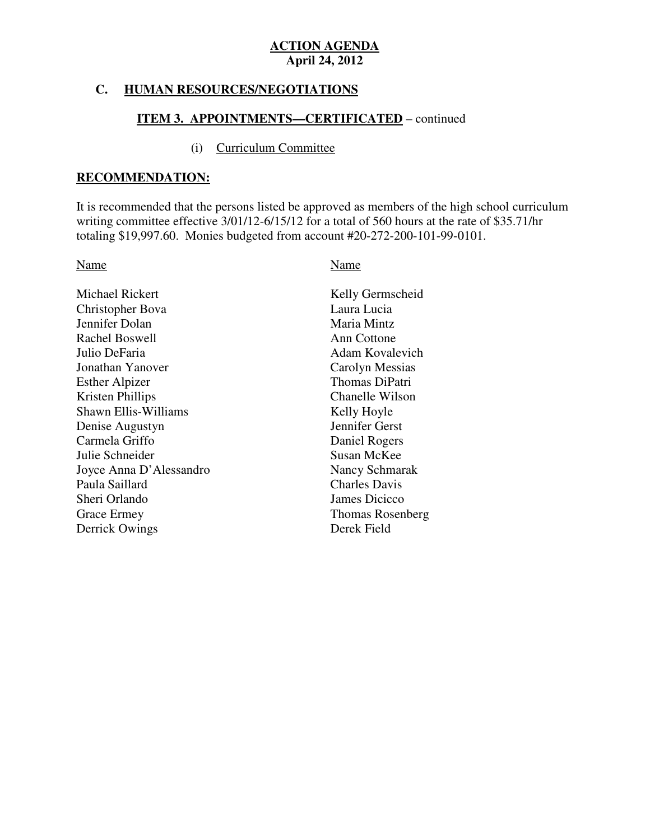### **C. HUMAN RESOURCES/NEGOTIATIONS**

## **ITEM 3. APPOINTMENTS—CERTIFICATED** – continued

#### (i) Curriculum Committee

#### **RECOMMENDATION:**

 It is recommended that the persons listed be approved as members of the high school curriculum writing committee effective 3/01/12-6/15/12 for a total of 560 hours at the rate of \$35.71/hr totaling \$19,997.60. Monies budgeted from account #20-272-200-101-99-0101.

#### Name Name

| Michael Rickert             | Kelly Germscheid        |
|-----------------------------|-------------------------|
| Christopher Bova            | Laura Lucia             |
| Jennifer Dolan              | Maria Mintz             |
| Rachel Boswell              | Ann Cottone             |
| Julio DeFaria               | Adam Kovalevich         |
| Jonathan Yanover            | Carolyn Messias         |
| <b>Esther Alpizer</b>       | Thomas DiPatri          |
| Kristen Phillips            | Chanelle Wilson         |
| <b>Shawn Ellis-Williams</b> | Kelly Hoyle             |
| Denise Augustyn             | Jennifer Gerst          |
| Carmela Griffo              | Daniel Rogers           |
| Julie Schneider             | Susan McKee             |
| Joyce Anna D'Alessandro     | Nancy Schmarak          |
| Paula Saillard              | <b>Charles Davis</b>    |
| Sheri Orlando               | James Dicicco           |
| Grace Ermey                 | <b>Thomas Rosenberg</b> |
| Derrick Owings              | Derek Field             |
|                             |                         |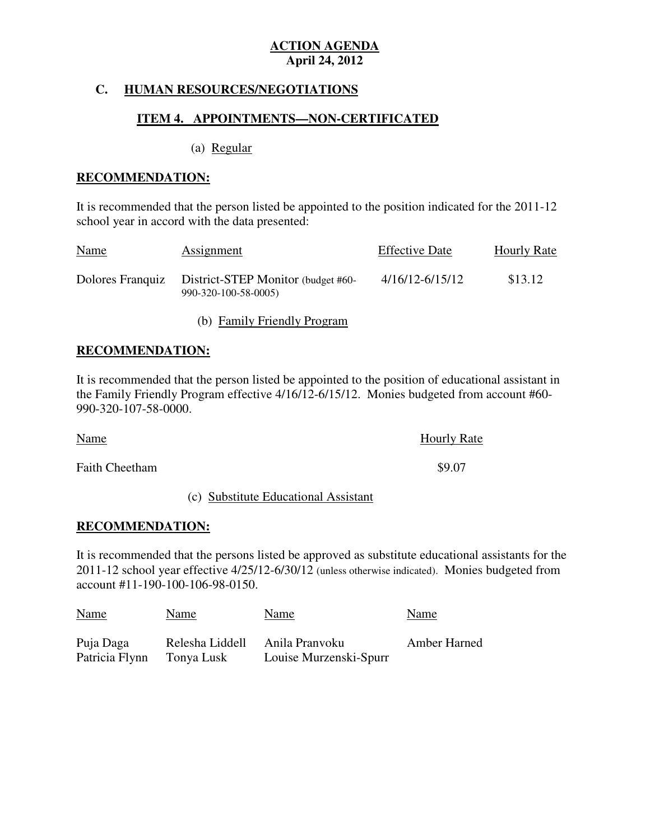## **C. HUMAN RESOURCES/NEGOTIATIONS**

## **ITEM 4. APPOINTMENTS—NON-CERTIFICATED**

(a) Regular

### **RECOMMENDATION:**

 It is recommended that the person listed be appointed to the position indicated for the 2011-12 school year in accord with the data presented:

| <b>Name</b> | Assignment                                                                  | <b>Effective Date</b> | <b>Hourly Rate</b> |
|-------------|-----------------------------------------------------------------------------|-----------------------|--------------------|
|             | Dolores Franquiz District-STEP Monitor (budget #60-<br>990-320-100-58-0005) | 4/16/12-6/15/12       | \$13.12            |

(b) Family Friendly Program

## **RECOMMENDATION:**

 It is recommended that the person listed be appointed to the position of educational assistant in the Family Friendly Program effective 4/16/12-6/15/12. Monies budgeted from account #60 990-320-107-58-0000.

| Name                  | <b>Hourly Rate</b> |
|-----------------------|--------------------|
| <b>Faith Cheetham</b> | \$9.07             |

#### (c) Substitute Educational Assistant

### **RECOMMENDATION:**

 It is recommended that the persons listed be approved as substitute educational assistants for the 2011-12 school year effective 4/25/12-6/30/12 (unless otherwise indicated). Monies budgeted from account #11-190-100-106-98-0150.

| <b>Name</b>    | Name            | Name                   | Name         |
|----------------|-----------------|------------------------|--------------|
| Puja Daga      | Relesha Liddell | Anila Pranvoku         | Amber Harned |
| Patricia Flynn | Tonya Lusk      | Louise Murzenski-Spurr |              |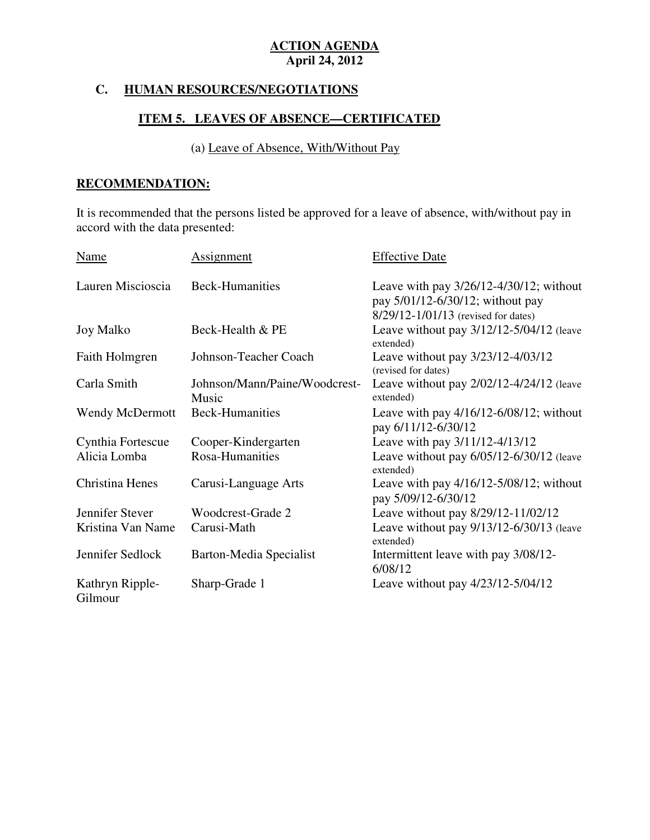## **C. HUMAN RESOURCES/NEGOTIATIONS**

## **ITEM 5. LEAVES OF ABSENCE—CERTIFICATED**

## (a) Leave of Absence, With/Without Pay

## **RECOMMENDATION:**

 It is recommended that the persons listed be approved for a leave of absence, with/without pay in accord with the data presented:

| Name                       | <b>Assignment</b>                      | <b>Effective Date</b>                                                                                                   |
|----------------------------|----------------------------------------|-------------------------------------------------------------------------------------------------------------------------|
| Lauren Miscioscia          | <b>Beck-Humanities</b>                 | Leave with pay $3/26/12 - 4/30/12$ ; without<br>pay 5/01/12-6/30/12; without pay<br>8/29/12-1/01/13 (revised for dates) |
| <b>Joy Malko</b>           | Beck-Health & PE                       | Leave without pay 3/12/12-5/04/12 (leave<br>extended)                                                                   |
| Faith Holmgren             | Johnson-Teacher Coach                  | Leave without pay 3/23/12-4/03/12<br>(revised for dates)                                                                |
| Carla Smith                | Johnson/Mann/Paine/Woodcrest-<br>Music | Leave without pay $2/02/12-4/24/12$ (leave<br>extended)                                                                 |
| <b>Wendy McDermott</b>     | <b>Beck-Humanities</b>                 | Leave with pay $4/16/12 - 6/08/12$ ; without<br>pay 6/11/12-6/30/12                                                     |
| Cynthia Fortescue          | Cooper-Kindergarten                    | Leave with pay 3/11/12-4/13/12                                                                                          |
| Alicia Lomba               | Rosa-Humanities                        | Leave without pay $6/05/12 - 6/30/12$ (leave<br>extended)                                                               |
| Christina Henes            | Carusi-Language Arts                   | Leave with pay $4/16/12 - 5/08/12$ ; without<br>pay 5/09/12-6/30/12                                                     |
| Jennifer Stever            | Woodcrest-Grade 2                      | Leave without pay 8/29/12-11/02/12                                                                                      |
| Kristina Van Name          | Carusi-Math                            | Leave without pay 9/13/12-6/30/13 (leave<br>extended)                                                                   |
| Jennifer Sedlock           | Barton-Media Specialist                | Intermittent leave with pay 3/08/12-<br>6/08/12                                                                         |
| Kathryn Ripple-<br>Gilmour | Sharp-Grade 1                          | Leave without pay 4/23/12-5/04/12                                                                                       |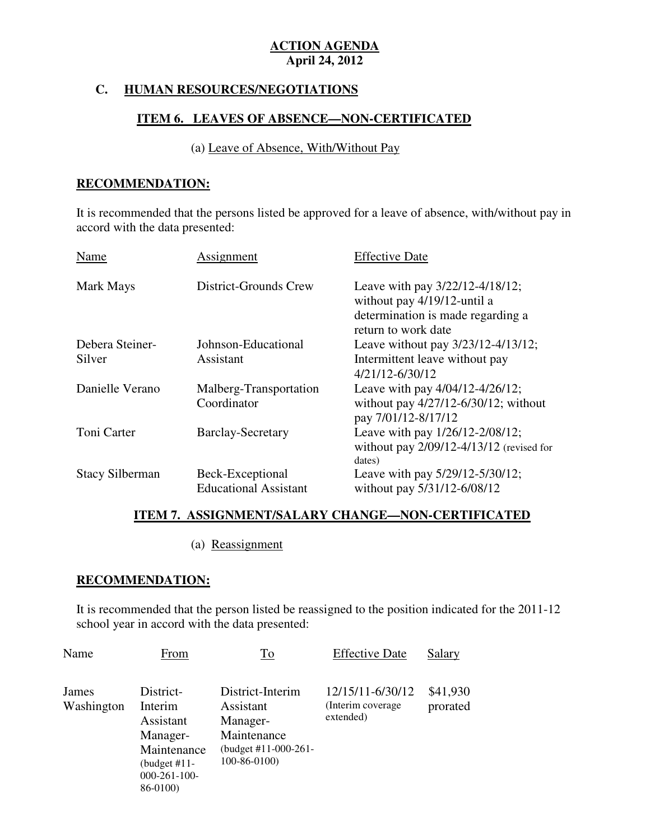## **C. HUMAN RESOURCES/NEGOTIATIONS**

## **ITEM 6. LEAVES OF ABSENCE—NON-CERTIFICATED**

## (a) Leave of Absence, With/Without Pay

## **RECOMMENDATION:**

 It is recommended that the persons listed be approved for a leave of absence, with/without pay in accord with the data presented:

| Name                   | Assignment                                       | <b>Effective Date</b>                                                                                                      |
|------------------------|--------------------------------------------------|----------------------------------------------------------------------------------------------------------------------------|
| Mark Mays              | District-Grounds Crew                            | Leave with pay 3/22/12-4/18/12;<br>without pay 4/19/12-until a<br>determination is made regarding a<br>return to work date |
| Debera Steiner-        | Johnson-Educational                              | Leave without pay 3/23/12-4/13/12;                                                                                         |
| Silver                 | Assistant                                        | Intermittent leave without pay<br>4/21/12-6/30/12                                                                          |
| Danielle Verano        | Malberg-Transportation<br>Coordinator            | Leave with pay 4/04/12-4/26/12;<br>without pay $4/27/12 - 6/30/12$ ; without<br>pay 7/01/12-8/17/12                        |
| Toni Carter            | <b>Barclay-Secretary</b>                         | Leave with pay 1/26/12-2/08/12;<br>without pay $2/09/12-4/13/12$ (revised for<br>dates)                                    |
| <b>Stacy Silberman</b> | Beck-Exceptional<br><b>Educational Assistant</b> | Leave with pay 5/29/12-5/30/12;<br>without pay 5/31/12-6/08/12                                                             |

### **ITEM 7. ASSIGNMENT/SALARY CHANGE—NON-CERTIFICATED**

(a) Reassignment

## **RECOMMENDATION:**

 It is recommended that the person listed be reassigned to the position indicated for the 2011-12 school year in accord with the data presented:

| Name                | From                                                                                                            | To                                                                                                    | <b>Effective Date</b>                               | Salary               |
|---------------------|-----------------------------------------------------------------------------------------------------------------|-------------------------------------------------------------------------------------------------------|-----------------------------------------------------|----------------------|
| James<br>Washington | District-<br>Interim<br>Assistant<br>Manager-<br>Maintenance<br>(budget #11-<br>$000 - 261 - 100 -$<br>86-0100) | District-Interim<br>Assistant<br>Manager-<br>Maintenance<br>(budget #11-000-261-<br>$100 - 86 - 0100$ | 12/15/11-6/30/12<br>(Interim coverage)<br>extended) | \$41,930<br>prorated |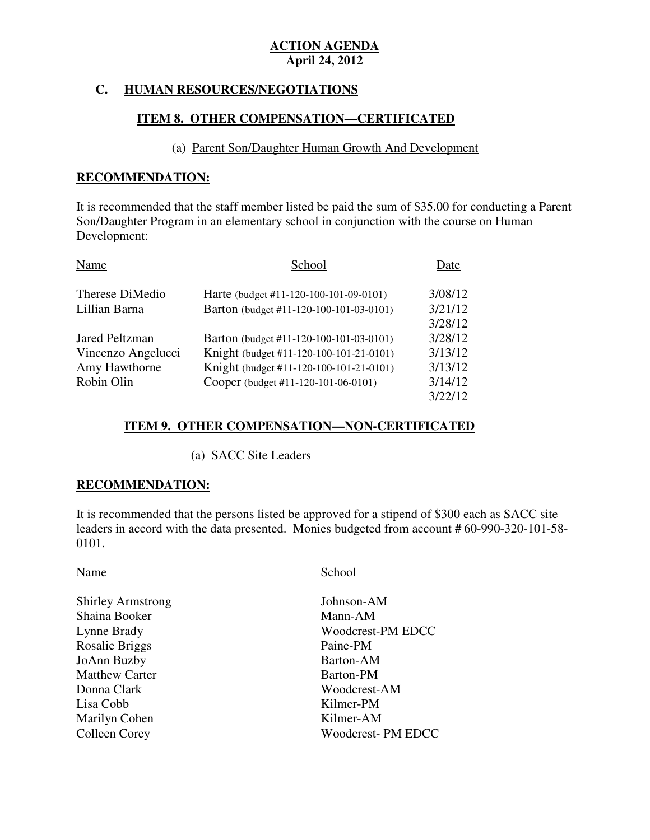## **C. HUMAN RESOURCES/NEGOTIATIONS**

## **ITEM 8. OTHER COMPENSATION—CERTIFICATED**

#### (a) Parent Son/Daughter Human Growth And Development

#### **RECOMMENDATION:**

 It is recommended that the staff member listed be paid the sum of \$35.00 for conducting a Parent Son/Daughter Program in an elementary school in conjunction with the course on Human Development:

| Name                  | School                                  | Date    |
|-----------------------|-----------------------------------------|---------|
| Therese DiMedio       | Harte (budget #11-120-100-101-09-0101)  | 3/08/12 |
| Lillian Barna         | Barton (budget #11-120-100-101-03-0101) | 3/21/12 |
|                       |                                         | 3/28/12 |
| <b>Jared Peltzman</b> | Barton (budget #11-120-100-101-03-0101) | 3/28/12 |
| Vincenzo Angelucci    | Knight (budget #11-120-100-101-21-0101) | 3/13/12 |
| Amy Hawthorne         | Knight (budget #11-120-100-101-21-0101) | 3/13/12 |
| Robin Olin            | Cooper (budget #11-120-101-06-0101)     | 3/14/12 |
|                       |                                         | 3/22/12 |

## **ITEM 9. OTHER COMPENSATION—NON-CERTIFICATED**

### (a) SACC Site Leaders

### **RECOMMENDATION:**

 It is recommended that the persons listed be approved for a stipend of \$300 each as SACC site leaders in accord with the data presented. Monies budgeted from account # 60-990-320-101-58 0101.

Shirley Armstrong Johnson-AM Shaina Booker Mann-AM Lynne Brady Rosalie Briggs Paine-PM JoAnn Buzby Barton-AM Matthew Carter **Barton-PM** Donna Clark Lisa Cobb Marilyn Cohen Kilmer-AM Colleen Corey

### Name School

Woodcrest-PM EDCC Woodcrest-AM Kilmer-PM Woodcrest- PM EDCC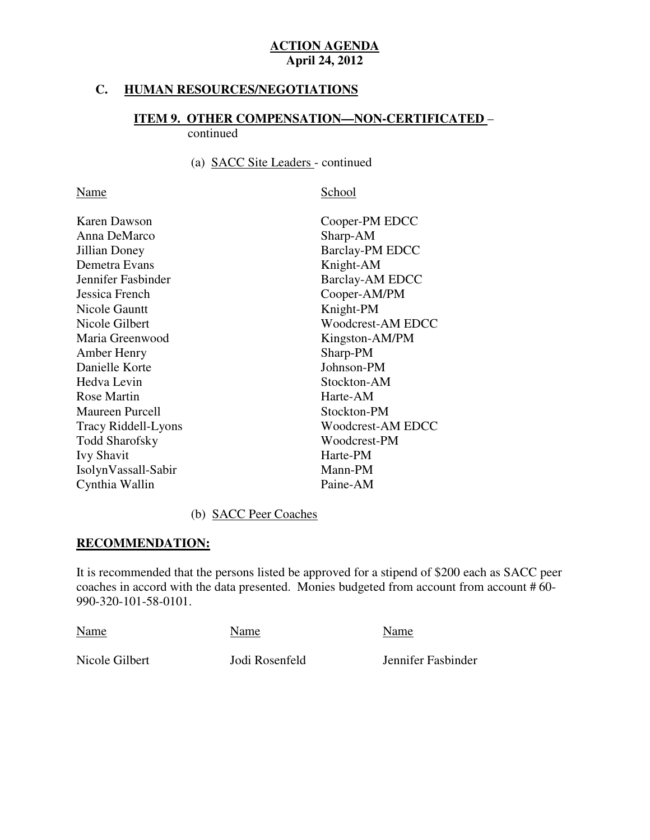## **C. HUMAN RESOURCES/NEGOTIATIONS**

# **ITEM 9. OTHER COMPENSATION—NON-CERTIFICATED** –

continued

### (a) SACC Site Leaders - continued

Name School

| Karen Dawson               | Cooper-PM EDCC           |  |  |
|----------------------------|--------------------------|--|--|
| Anna DeMarco               | Sharp-AM                 |  |  |
| Jillian Doney              | <b>Barclay-PM EDCC</b>   |  |  |
| Demetra Evans              | Knight-AM                |  |  |
| Jennifer Fasbinder         | <b>Barclay-AM EDCC</b>   |  |  |
| Jessica French             | Cooper-AM/PM             |  |  |
| Nicole Gauntt              | Knight-PM                |  |  |
| Nicole Gilbert             | Woodcrest-AM EDCC        |  |  |
| Maria Greenwood            | Kingston-AM/PM           |  |  |
| Amber Henry                | Sharp-PM                 |  |  |
| Danielle Korte             | Johnson-PM               |  |  |
| Hedva Levin                | Stockton-AM              |  |  |
| Rose Martin                | Harte-AM                 |  |  |
| <b>Maureen Purcell</b>     | Stockton-PM              |  |  |
| <b>Tracy Riddell-Lyons</b> | <b>Woodcrest-AM EDCC</b> |  |  |
| <b>Todd Sharofsky</b>      | Woodcrest-PM             |  |  |
| <b>Ivy Shavit</b>          | Harte-PM                 |  |  |
| IsolynVassall-Sabir        | Mann-PM                  |  |  |
| Cynthia Wallin             | Paine-AM                 |  |  |
|                            |                          |  |  |

### (b) SACC Peer Coaches

## **RECOMMENDATION:**

 It is recommended that the persons listed be approved for a stipend of \$200 each as SACC peer coaches in accord with the data presented. Monies budgeted from account from account # 60 990-320-101-58-0101.

| Name           | Name           | Name               |  |
|----------------|----------------|--------------------|--|
| Nicole Gilbert | Jodi Rosenfeld | Jennifer Fasbinder |  |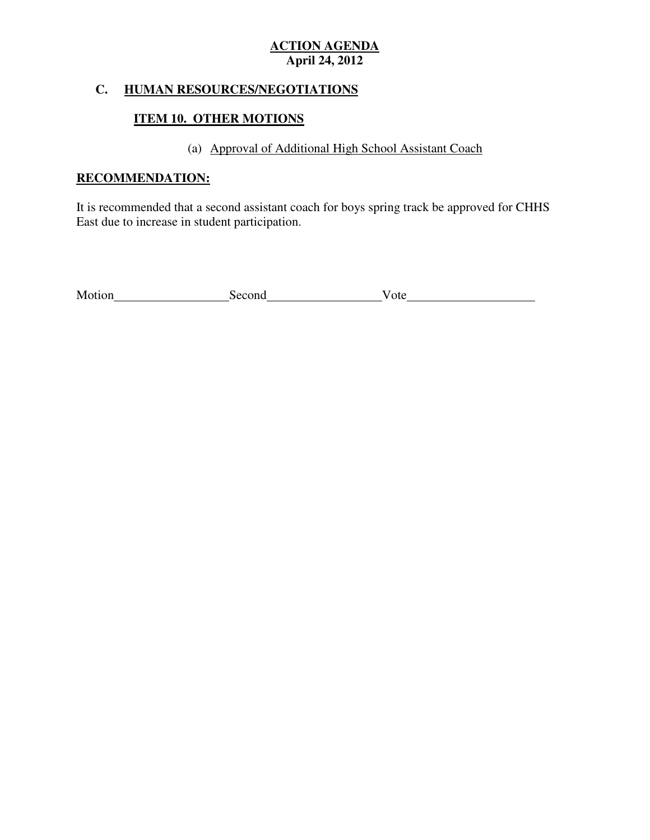## **C. HUMAN RESOURCES/NEGOTIATIONS**

## **ITEM 10. OTHER MOTIONS**

## (a) Approval of Additional High School Assistant Coach

## **RECOMMENDATION:**

 It is recommended that a second assistant coach for boys spring track be approved for CHHS East due to increase in student participation.

| Motion<br>econd<br>ote |
|------------------------|
|------------------------|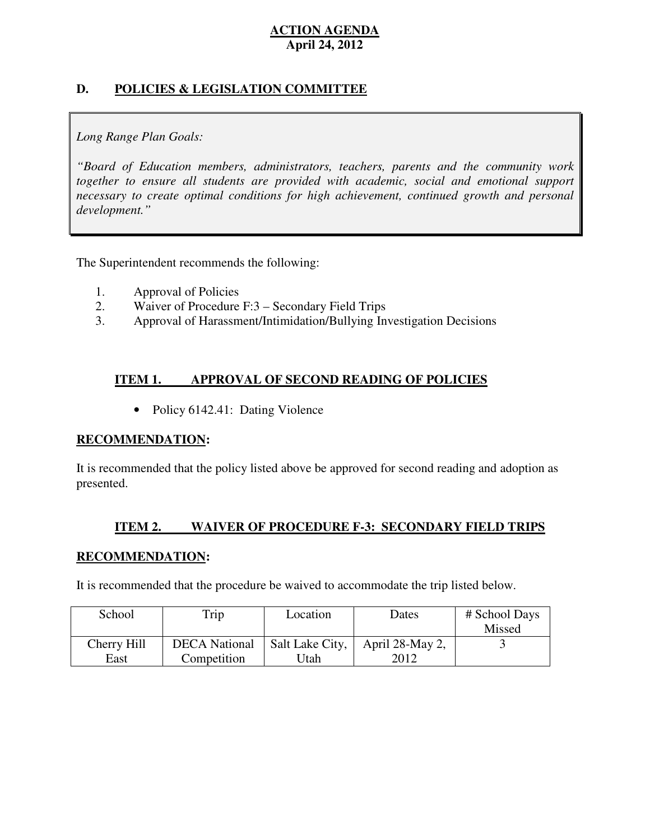## **D. POLICIES & LEGISLATION COMMITTEE**

## *Long Range Plan Goals:*

 *"Board of Education members, administrators, teachers, parents and the community work*  together to ensure all students are provided with academic, social and emotional support necessary to create optimal conditions for high achievement, continued growth and personal *development."* 

The Superintendent recommends the following:

- 1. Approval of Policies
- 2. Waiver of Procedure F:3 Secondary Field Trips
- 3. Approval of Harassment/Intimidation/Bullying Investigation Decisions

#### **ITEM 1. IMPROVAL OF SECOND READING OF POLICIES**

• Policy 6142.41: Dating Violence

### **RECOMMENDATION:**

 It is recommended that the policy listed above be approved for second reading and adoption as presented.

#### **ITEM 2. ITEM 2. WAIVER OF PROCEDURE F-3: SECONDARY FIELD TRIPS**

### **RECOMMENDATION:**

It is recommended that the procedure be waived to accommodate the trip listed below.

| School      | Trip                 | Location        | Dates           | # School Days |
|-------------|----------------------|-----------------|-----------------|---------------|
|             |                      |                 |                 | Missed        |
| Cherry Hill | <b>DECA</b> National | Salt Lake City, | April 28-May 2, |               |
| East        | Competition          | Jtah            | 2012            |               |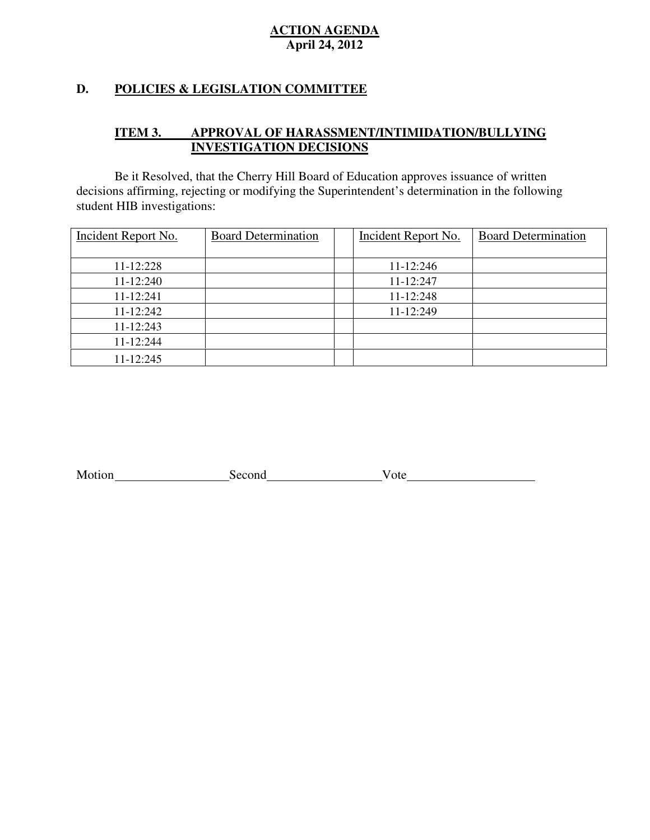## **D. POLICIES & LEGISLATION COMMITTEE**

#### **ITEM 3.** APPROVAL OF HARASSMENT/INTIMIDATION/BULLYING **INVESTIGATION DECISIONS**

 decisions affirming, rejecting or modifying the Superintendent's determination in the following student HIB investigations: Be it Resolved, that the Cherry Hill Board of Education approves issuance of written

| <b>Incident Report No.</b> | <b>Board Determination</b> | Incident Report No. | <b>Board Determination</b> |
|----------------------------|----------------------------|---------------------|----------------------------|
|                            |                            |                     |                            |
| 11-12:228                  |                            | 11-12:246           |                            |
| 11-12:240                  |                            | 11-12:247           |                            |
| 11-12:241                  |                            | 11-12:248           |                            |
| 11-12:242                  |                            | 11-12:249           |                            |
| 11-12:243                  |                            |                     |                            |
| 11-12:244                  |                            |                     |                            |
| 11-12:245                  |                            |                     |                            |

Motion Vote